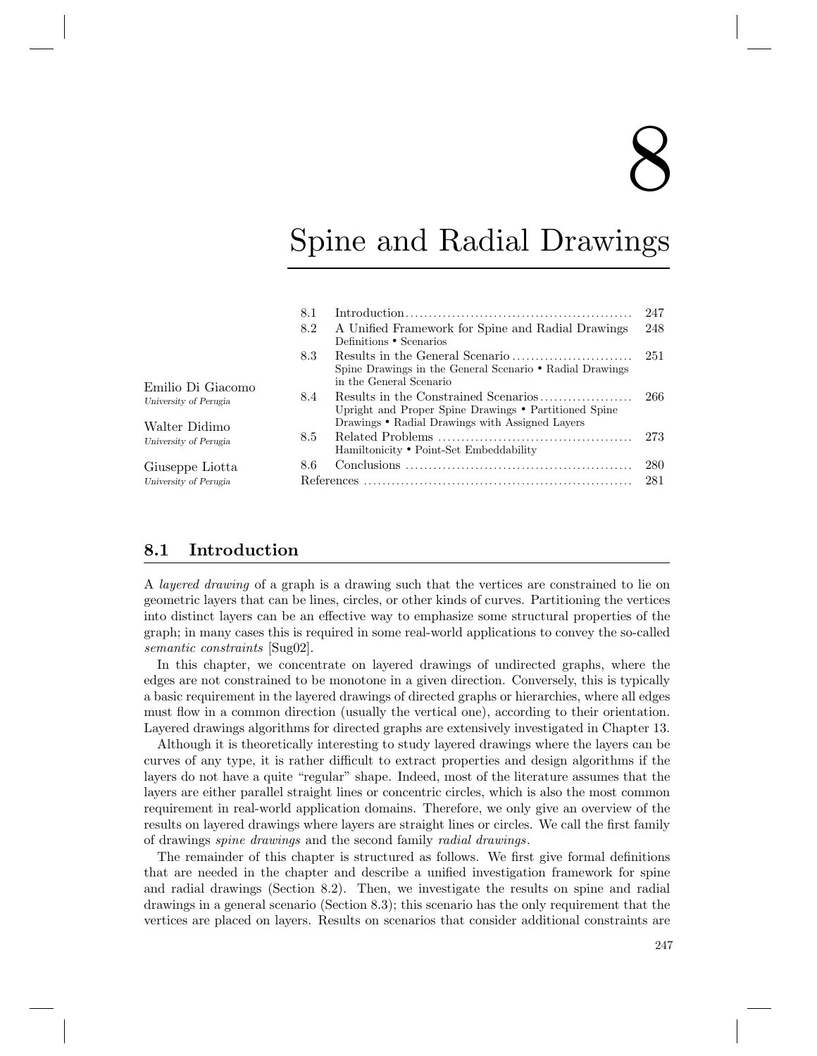# 8

# Spine and Radial Drawings

|                                            | 8.1 |                                                                                                                          | 247        |
|--------------------------------------------|-----|--------------------------------------------------------------------------------------------------------------------------|------------|
|                                            | 8.2 | A Unified Framework for Spine and Radial Drawings                                                                        | 248        |
|                                            | 8.3 | Definitions • Scenarios<br>Spine Drawings in the General Scenario • Radial Drawings                                      | 251        |
| Emilio Di Giacomo<br>University of Perugia | 8.4 | in the General Scenario<br>Results in the Constrained Scenarios<br>Upright and Proper Spine Drawings • Partitioned Spine | 266        |
| Walter Didimo<br>University of Perugia     | 8.5 | Drawings • Radial Drawings with Assigned Layers<br>Hamiltonicity • Point-Set Embeddability                               | 273        |
| Giuseppe Liotta<br>University of Perugia   | 8.6 |                                                                                                                          | 280<br>281 |
|                                            |     |                                                                                                                          |            |

# 8.1 Introduction

A *layered drawing* of a graph is a drawing such that the vertices are constrained to lie on geometric layers that can be lines, circles, or other kinds of curves. Partitioning the vertices into distinct layers can be an effective way to emphasize some structural properties of the graph; in many cases this is required in some real-world applications to convey the so-called *semantic constraints* [Sug02].

In this chapter, we concentrate on layered drawings of undirected graphs, where the edges are not constrained to be monotone in a given direction. Conversely, this is typically a basic requirement in the layered drawings of directed graphs or hierarchies, where all edges must flow in a common direction (usually the vertical one), according to their orientation. Layered drawings algorithms for directed graphs are extensively investigated in Chapter 13.

Although it is theoretically interesting to study layered drawings where the layers can be curves of any type, it is rather difficult to extract properties and design algorithms if the layers do not have a quite "regular" shape. Indeed, most of the literature assumes that the layers are either parallel straight lines or concentric circles, which is also the most common requirement in real-world application domains. Therefore, we only give an overview of the results on layered drawings where layers are straight lines or circles. We call the first family of drawings *spine drawings* and the second family *radial drawings*.

The remainder of this chapter is structured as follows. We first give formal definitions that are needed in the chapter and describe a unified investigation framework for spine and radial drawings (Section 8.2). Then, we investigate the results on spine and radial drawings in a general scenario (Section 8.3); this scenario has the only requirement that the vertices are placed on layers. Results on scenarios that consider additional constraints are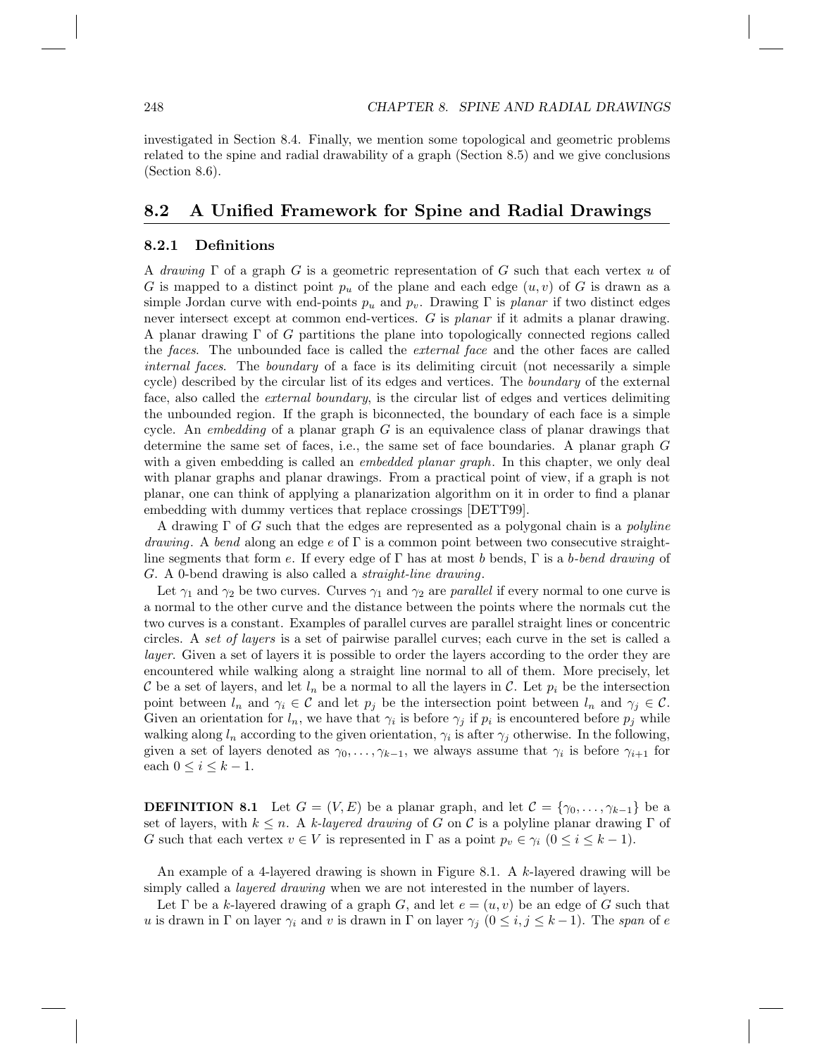investigated in Section 8.4. Finally, we mention some topological and geometric problems related to the spine and radial drawability of a graph (Section 8.5) and we give conclusions (Section 8.6).

### 8.2 A Unified Framework for Spine and Radial Drawings

### 8.2.1 Definitions

A *drawing* Γ of a graph G is a geometric representation of G such that each vertex u of G is mapped to a distinct point  $p_u$  of the plane and each edge  $(u, v)$  of G is drawn as a simple Jordan curve with end-points  $p_u$  and  $p_v$ . Drawing Γ is *planar* if two distinct edges never intersect except at common end-vertices. G is *planar* if it admits a planar drawing. A planar drawing Γ of G partitions the plane into topologically connected regions called the *faces*. The unbounded face is called the *external face* and the other faces are called *internal faces*. The *boundary* of a face is its delimiting circuit (not necessarily a simple cycle) described by the circular list of its edges and vertices. The *boundary* of the external face, also called the *external boundary*, is the circular list of edges and vertices delimiting the unbounded region. If the graph is biconnected, the boundary of each face is a simple cycle. An *embedding* of a planar graph G is an equivalence class of planar drawings that determine the same set of faces, i.e., the same set of face boundaries. A planar graph G with a given embedding is called an *embedded planar graph*. In this chapter, we only deal with planar graphs and planar drawings. From a practical point of view, if a graph is not planar, one can think of applying a planarization algorithm on it in order to find a planar embedding with dummy vertices that replace crossings [DETT99].

A drawing Γ of G such that the edges are represented as a polygonal chain is a *polyline drawing*. A *bend* along an edge e of Γ is a common point between two consecutive straightline segments that form e. If every edge of Γ has at most b bends, Γ is a b*-bend drawing* of G. A 0-bend drawing is also called a *straight-line drawing*.

Let  $\gamma_1$  and  $\gamma_2$  be two curves. Curves  $\gamma_1$  and  $\gamma_2$  are *parallel* if every normal to one curve is a normal to the other curve and the distance between the points where the normals cut the two curves is a constant. Examples of parallel curves are parallel straight lines or concentric circles. A *set of layers* is a set of pairwise parallel curves; each curve in the set is called a *layer*. Given a set of layers it is possible to order the layers according to the order they are encountered while walking along a straight line normal to all of them. More precisely, let C be a set of layers, and let  $l_n$  be a normal to all the layers in C. Let  $p_i$  be the intersection point between  $l_n$  and  $\gamma_i \in \mathcal{C}$  and let  $p_j$  be the intersection point between  $l_n$  and  $\gamma_j \in \mathcal{C}$ . Given an orientation for  $l_n$ , we have that  $\gamma_i$  is before  $\gamma_j$  if  $p_i$  is encountered before  $p_j$  while walking along  $l_n$  according to the given orientation,  $\gamma_i$  is after  $\gamma_j$  otherwise. In the following, given a set of layers denoted as  $\gamma_0, \ldots, \gamma_{k-1}$ , we always assume that  $\gamma_i$  is before  $\gamma_{i+1}$  for each  $0 \leq i \leq k-1$ .

**DEFINITION 8.1** Let  $G = (V, E)$  be a planar graph, and let  $C = \{\gamma_0, \ldots, \gamma_{k-1}\}$  be a set of layers, with  $k \leq n$ . A *k-layered drawing* of G on C is a polyline planar drawing  $\Gamma$  of G such that each vertex  $v \in V$  is represented in  $\Gamma$  as a point  $p_v \in \gamma_i$   $(0 \le i \le k - 1)$ .

An example of a 4-layered drawing is shown in Figure 8.1. A k-layered drawing will be simply called a *layered drawing* when we are not interested in the number of layers.

Let  $\Gamma$  be a k-layered drawing of a graph G, and let  $e = (u, v)$  be an edge of G such that u is drawn in Γ on layer  $\gamma_i$  and v is drawn in Γ on layer  $\gamma_j$  ( $0 \le i, j \le k-1$ ). The *span* of e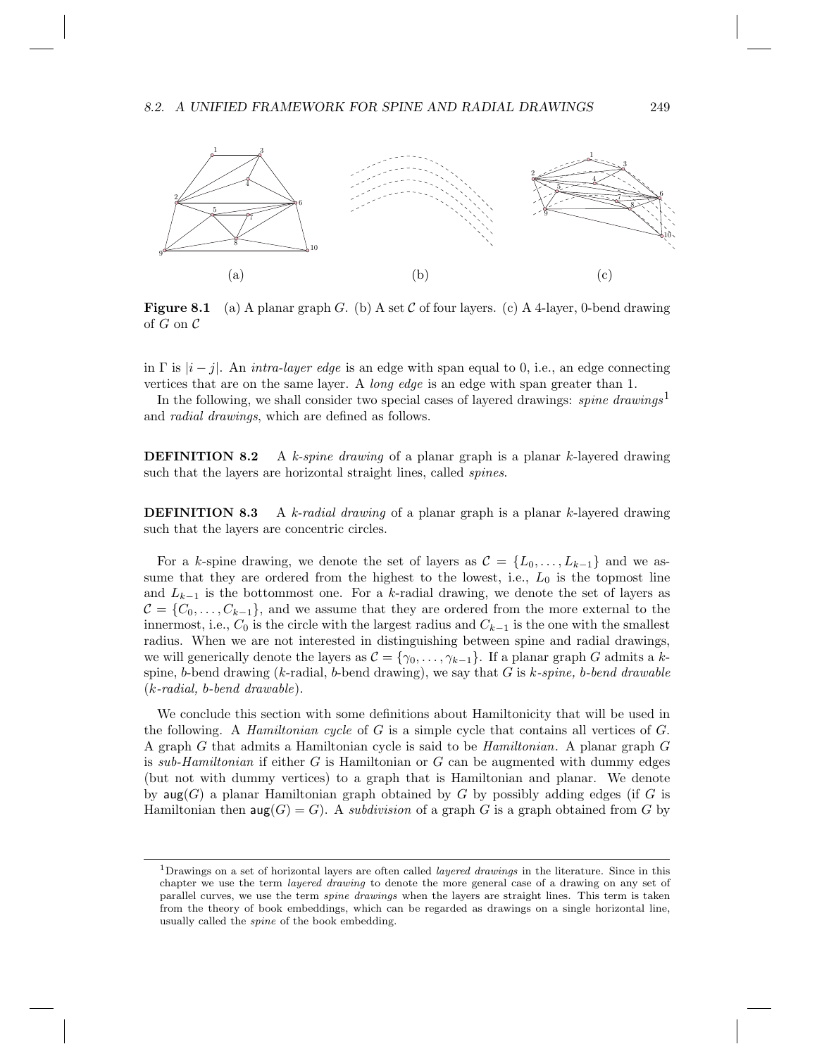

**Figure 8.1** (a) A planar graph G. (b) A set C of four layers. (c) A 4-layer, 0-bend drawing of  $G$  on  $\mathcal C$ 

in  $\Gamma$  is  $|i-j|$ . An *intra-layer edge* is an edge with span equal to 0, i.e., an edge connecting vertices that are on the same layer. A *long edge* is an edge with span greater than 1.

In the following, we shall consider two special cases of layered drawings: *spine drawings*<sup>1</sup> and *radial drawings*, which are defined as follows.

**DEFINITION 8.2** A *k-spine drawing* of a planar graph is a planar *k*-layered drawing such that the layers are horizontal straight lines, called *spines*.

**DEFINITION 8.3** A *k-radial drawing* of a planar graph is a planar *k*-layered drawing such that the layers are concentric circles.

For a k-spine drawing, we denote the set of layers as  $\mathcal{C} = \{L_0, \ldots, L_{k-1}\}\$  and we assume that they are ordered from the highest to the lowest, i.e.,  $L_0$  is the topmost line and  $L_{k-1}$  is the bottommost one. For a k-radial drawing, we denote the set of layers as  $C = \{C_0, \ldots, C_{k-1}\}\$ , and we assume that they are ordered from the more external to the innermost, i.e.,  $C_0$  is the circle with the largest radius and  $C_{k-1}$  is the one with the smallest radius. When we are not interested in distinguishing between spine and radial drawings, we will generically denote the layers as  $\mathcal{C} = \{\gamma_0, \ldots, \gamma_{k-1}\}\.$  If a planar graph G admits a kspine, b-bend drawing (k-radial, b-bend drawing), we say that G is k*-spine,* b*-bend drawable* (k*-radial,* b*-bend drawable*).

We conclude this section with some definitions about Hamiltonicity that will be used in the following. A *Hamiltonian cycle* of G is a simple cycle that contains all vertices of G. A graph G that admits a Hamiltonian cycle is said to be *Hamiltonian*. A planar graph G is *sub-Hamiltonian* if either G is Hamiltonian or G can be augmented with dummy edges (but not with dummy vertices) to a graph that is Hamiltonian and planar. We denote by  $\text{aug}(G)$  a planar Hamiltonian graph obtained by G by possibly adding edges (if G is Hamiltonian then  $\text{aug}(G) = G$ . A *subdivision* of a graph G is a graph obtained from G by

<sup>&</sup>lt;sup>1</sup>Drawings on a set of horizontal layers are often called *layered drawings* in the literature. Since in this chapter we use the term *layered drawing* to denote the more general case of a drawing on any set of parallel curves, we use the term spine drawings when the layers are straight lines. This term is taken from the theory of book embeddings, which can be regarded as drawings on a single horizontal line, usually called the spine of the book embedding.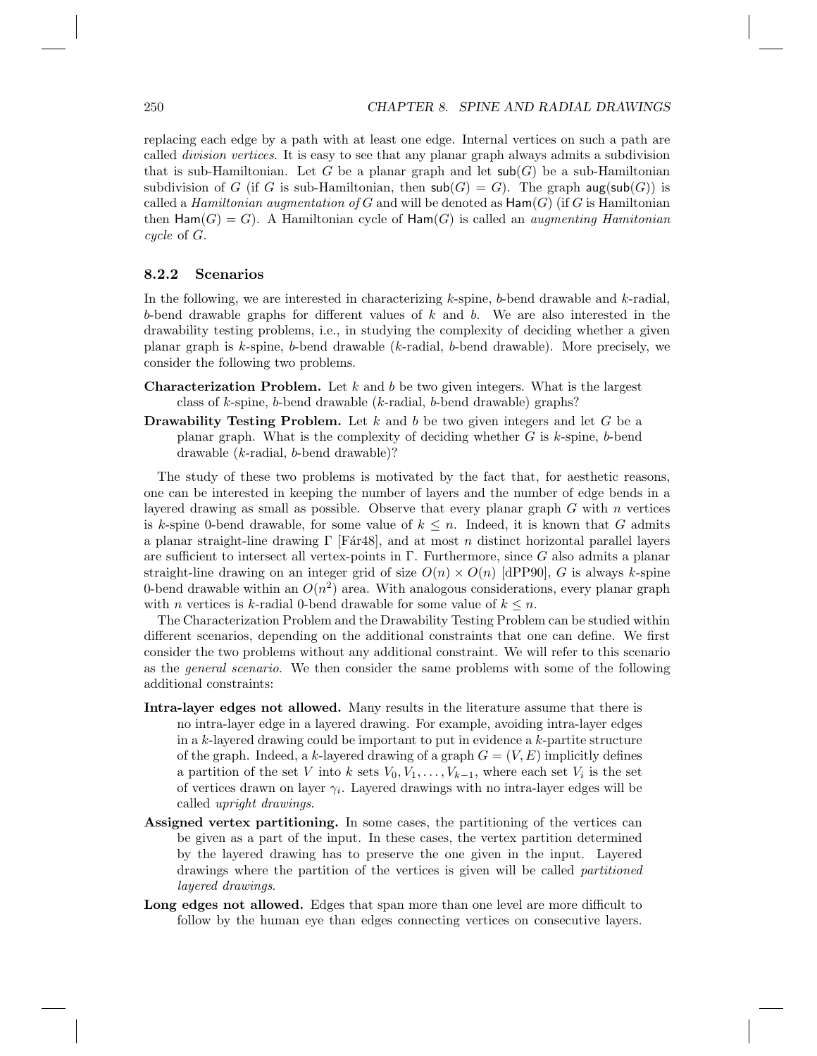replacing each edge by a path with at least one edge. Internal vertices on such a path are called *division vertices*. It is easy to see that any planar graph always admits a subdivision that is sub-Hamiltonian. Let G be a planar graph and let  $\mathsf{sub}(G)$  be a sub-Hamiltonian subdivision of G (if G is sub-Hamiltonian, then  $\mathsf{sub}(G) = G$ ). The graph  $\mathsf{aug}(\mathsf{sub}(G))$  is called a *Hamiltonian augmentation of* G and will be denoted as  $\text{Ham}(G)$  (if G is Hamiltonian then  $\text{Ham}(G) = G$ ). A Hamiltonian cycle of  $\text{Ham}(G)$  is called an *augmenting Hamitonian cycle* of G.

### 8.2.2 Scenarios

In the following, we are interested in characterizing  $k$ -spine, b-bend drawable and  $k$ -radial, b-bend drawable graphs for different values of  $k$  and  $b$ . We are also interested in the drawability testing problems, i.e., in studying the complexity of deciding whether a given planar graph is k-spine, b-bend drawable (k-radial, b-bend drawable). More precisely, we consider the following two problems.

- **Characterization Problem.** Let  $k$  and  $b$  be two given integers. What is the largest class of k-spine, b-bend drawable (k-radial, b-bend drawable) graphs?
- **Drawability Testing Problem.** Let k and b be two given integers and let G be a planar graph. What is the complexity of deciding whether  $G$  is k-spine, b-bend drawable (k-radial, b-bend drawable)?

The study of these two problems is motivated by the fact that, for aesthetic reasons, one can be interested in keeping the number of layers and the number of edge bends in a layered drawing as small as possible. Observe that every planar graph  $G$  with  $n$  vertices is k-spine 0-bend drawable, for some value of  $k \leq n$ . Indeed, it is known that G admits a planar straight-line drawing Γ [Fár48], and at most n distinct horizontal parallel layers are sufficient to intersect all vertex-points in  $\Gamma$ . Furthermore, since G also admits a planar straight-line drawing on an integer grid of size  $O(n) \times O(n)$  [dPP90], G is always k-spine 0-bend drawable within an  $O(n^2)$  area. With analogous considerations, every planar graph with *n* vertices is k-radial 0-bend drawable for some value of  $k \leq n$ .

The Characterization Problem and the Drawability Testing Problem can be studied within different scenarios, depending on the additional constraints that one can define. We first consider the two problems without any additional constraint. We will refer to this scenario as the *general scenario*. We then consider the same problems with some of the following additional constraints:

- Intra-layer edges not allowed. Many results in the literature assume that there is no intra-layer edge in a layered drawing. For example, avoiding intra-layer edges in a  $k$ -layered drawing could be important to put in evidence a  $k$ -partite structure of the graph. Indeed, a k-layered drawing of a graph  $G = (V, E)$  implicitly defines a partition of the set V into k sets  $V_0, V_1, \ldots, V_{k-1}$ , where each set  $V_i$  is the set of vertices drawn on layer  $\gamma_i$ . Layered drawings with no intra-layer edges will be called *upright drawings*.
- Assigned vertex partitioning. In some cases, the partitioning of the vertices can be given as a part of the input. In these cases, the vertex partition determined by the layered drawing has to preserve the one given in the input. Layered drawings where the partition of the vertices is given will be called *partitioned layered drawings*.
- Long edges not allowed. Edges that span more than one level are more difficult to follow by the human eye than edges connecting vertices on consecutive layers.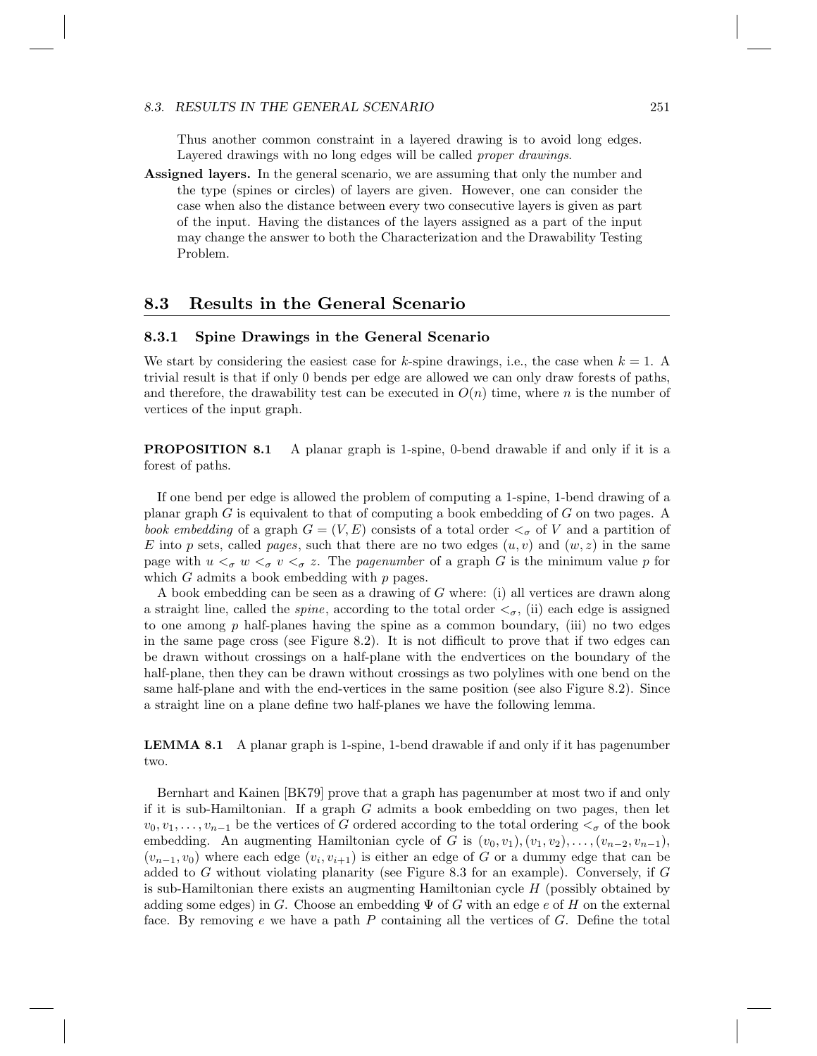Thus another common constraint in a layered drawing is to avoid long edges. Layered drawings with no long edges will be called *proper drawings*.

Assigned layers. In the general scenario, we are assuming that only the number and the type (spines or circles) of layers are given. However, one can consider the case when also the distance between every two consecutive layers is given as part of the input. Having the distances of the layers assigned as a part of the input may change the answer to both the Characterization and the Drawability Testing Problem.

# 8.3 Results in the General Scenario

### 8.3.1 Spine Drawings in the General Scenario

We start by considering the easiest case for k-spine drawings, i.e., the case when  $k = 1$ . trivial result is that if only 0 bends per edge are allowed we can only draw forests of paths, and therefore, the drawability test can be executed in  $O(n)$  time, where n is the number of vertices of the input graph.

**PROPOSITION 8.1** A planar graph is 1-spine, 0-bend drawable if and only if it is a forest of paths.

If one bend per edge is allowed the problem of computing a 1-spine, 1-bend drawing of a planar graph  $G$  is equivalent to that of computing a book embedding of  $G$  on two pages. A *book embedding* of a graph  $G = (V, E)$  consists of a total order  $\lt_{\sigma}$  of V and a partition of E into p sets, called *pages*, such that there are no two edges  $(u, v)$  and  $(w, z)$  in the same page with  $u <_{\sigma} w <_{\sigma} v <_{\sigma} z$ . The *pagenumber* of a graph G is the minimum value p for which  $G$  admits a book embedding with  $p$  pages.

A book embedding can be seen as a drawing of G where: (i) all vertices are drawn along a straight line, called the *spine*, according to the total order  $\lt_{\sigma}$ , (ii) each edge is assigned to one among  $p$  half-planes having the spine as a common boundary, (iii) no two edges in the same page cross (see Figure 8.2). It is not difficult to prove that if two edges can be drawn without crossings on a half-plane with the endvertices on the boundary of the half-plane, then they can be drawn without crossings as two polylines with one bend on the same half-plane and with the end-vertices in the same position (see also Figure 8.2). Since a straight line on a plane define two half-planes we have the following lemma.

LEMMA 8.1 A planar graph is 1-spine, 1-bend drawable if and only if it has pagenumber two.

Bernhart and Kainen [BK79] prove that a graph has pagenumber at most two if and only if it is sub-Hamiltonian. If a graph  $G$  admits a book embedding on two pages, then let  $v_0, v_1, \ldots, v_{n-1}$  be the vertices of G ordered according to the total ordering  $\lt_{\sigma}$  of the book embedding. An augmenting Hamiltonian cycle of G is  $(v_0, v_1), (v_1, v_2), \ldots, (v_{n-2}, v_{n-1}),$  $(v_{n-1}, v_0)$  where each edge  $(v_i, v_{i+1})$  is either an edge of G or a dummy edge that can be added to  $G$  without violating planarity (see Figure 8.3 for an example). Conversely, if  $G$ is sub-Hamiltonian there exists an augmenting Hamiltonian cycle  $H$  (possibly obtained by adding some edges) in G. Choose an embedding  $\Psi$  of G with an edge e of H on the external face. By removing e we have a path P containing all the vertices of  $G$ . Define the total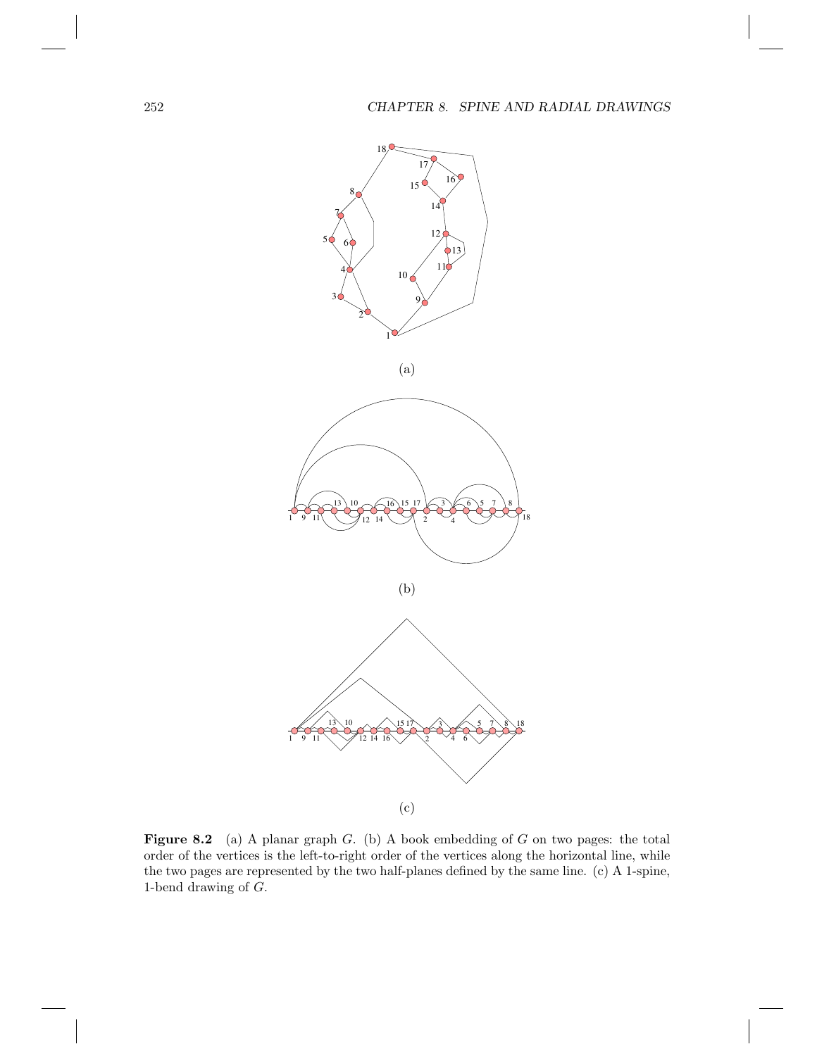

**Figure 8.2** (a) A planar graph  $G$ . (b) A book embedding of  $G$  on two pages: the total order of the vertices is the left-to-right order of the vertices along the horizontal line, while the two pages are represented by the two half-planes defined by the same line. (c) A 1-spine, 1-bend drawing of G.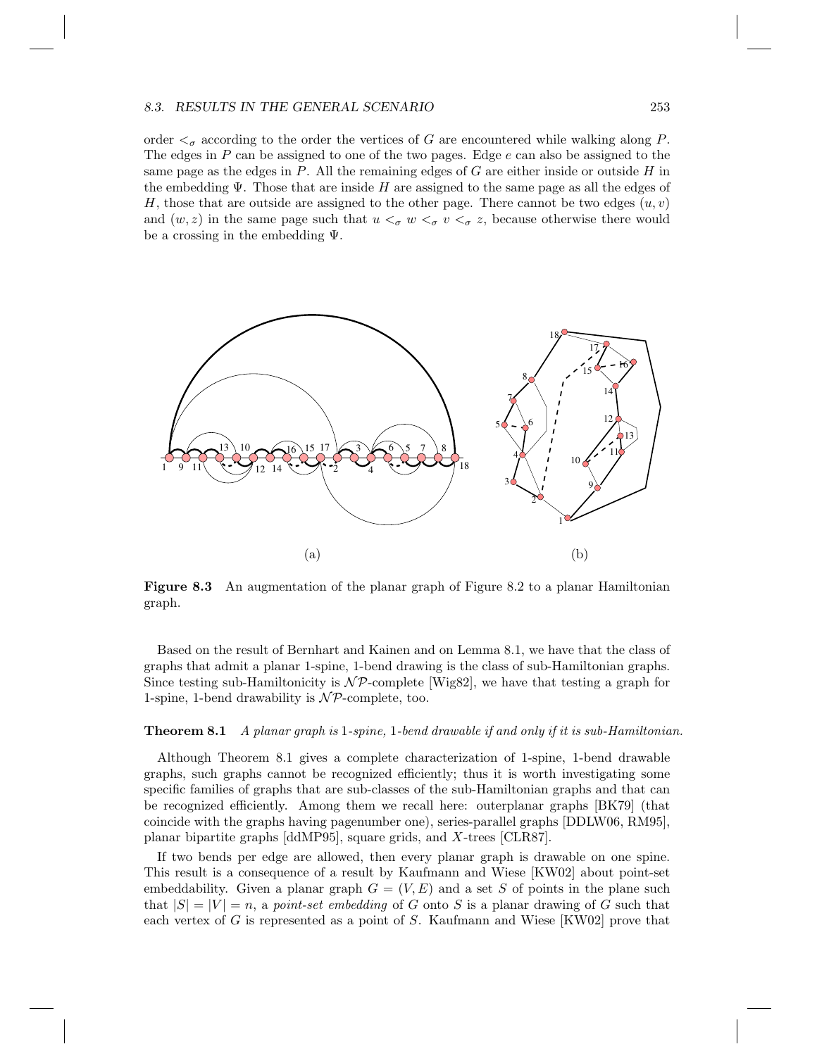order  $\lt_{\sigma}$  according to the order the vertices of G are encountered while walking along P. The edges in  $P$  can be assigned to one of the two pages. Edge  $e$  can also be assigned to the same page as the edges in P. All the remaining edges of G are either inside or outside H in the embedding  $\Psi$ . Those that are inside H are assigned to the same page as all the edges of H, those that are outside are assigned to the other page. There cannot be two edges  $(u, v)$ and  $(w, z)$  in the same page such that  $u <_{\sigma} w <_{\sigma} v <_{\sigma} z$ , because otherwise there would be a crossing in the embedding  $\Psi$ .



Figure 8.3 An augmentation of the planar graph of Figure 8.2 to a planar Hamiltonian graph.

Based on the result of Bernhart and Kainen and on Lemma 8.1, we have that the class of graphs that admit a planar 1-spine, 1-bend drawing is the class of sub-Hamiltonian graphs. Since testing sub-Hamiltonicity is  $N \mathcal{P}$ -complete [Wig82], we have that testing a graph for 1-spine, 1-bend drawability is  $N \mathcal{P}$ -complete, too.

### Theorem 8.1 *A planar graph is* 1*-spine,* 1*-bend drawable if and only if it is sub-Hamiltonian.*

Although Theorem 8.1 gives a complete characterization of 1-spine, 1-bend drawable graphs, such graphs cannot be recognized efficiently; thus it is worth investigating some specific families of graphs that are sub-classes of the sub-Hamiltonian graphs and that can be recognized efficiently. Among them we recall here: outerplanar graphs [BK79] (that coincide with the graphs having pagenumber one), series-parallel graphs [DDLW06, RM95], planar bipartite graphs [ddMP95], square grids, and X-trees [CLR87].

If two bends per edge are allowed, then every planar graph is drawable on one spine. This result is a consequence of a result by Kaufmann and Wiese [KW02] about point-set embeddability. Given a planar graph  $G = (V, E)$  and a set S of points in the plane such that  $|S| = |V| = n$ , a *point-set embedding* of G onto S is a planar drawing of G such that each vertex of G is represented as a point of S. Kaufmann and Wiese [KW02] prove that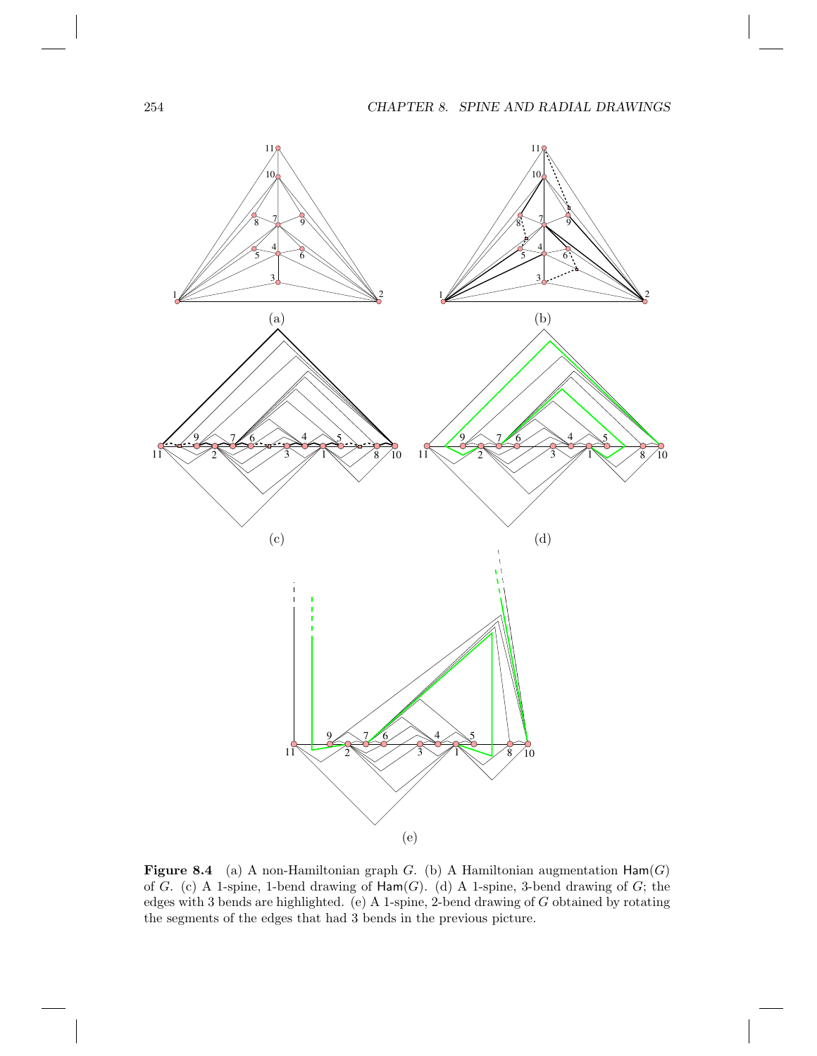

Figure 8.4 (a) A non-Hamiltonian graph G. (b) A Hamiltonian augmentation  $\text{Ham}(G)$ of G. (c) A 1-spine, 1-bend drawing of  $\mathsf{Ham}(G)$ . (d) A 1-spine, 3-bend drawing of G; the edges with 3 bends are highlighted. (e) A 1-spine, 2-bend drawing of  $G$  obtained by rotating the segments of the edges that had 3 bends in the previous picture.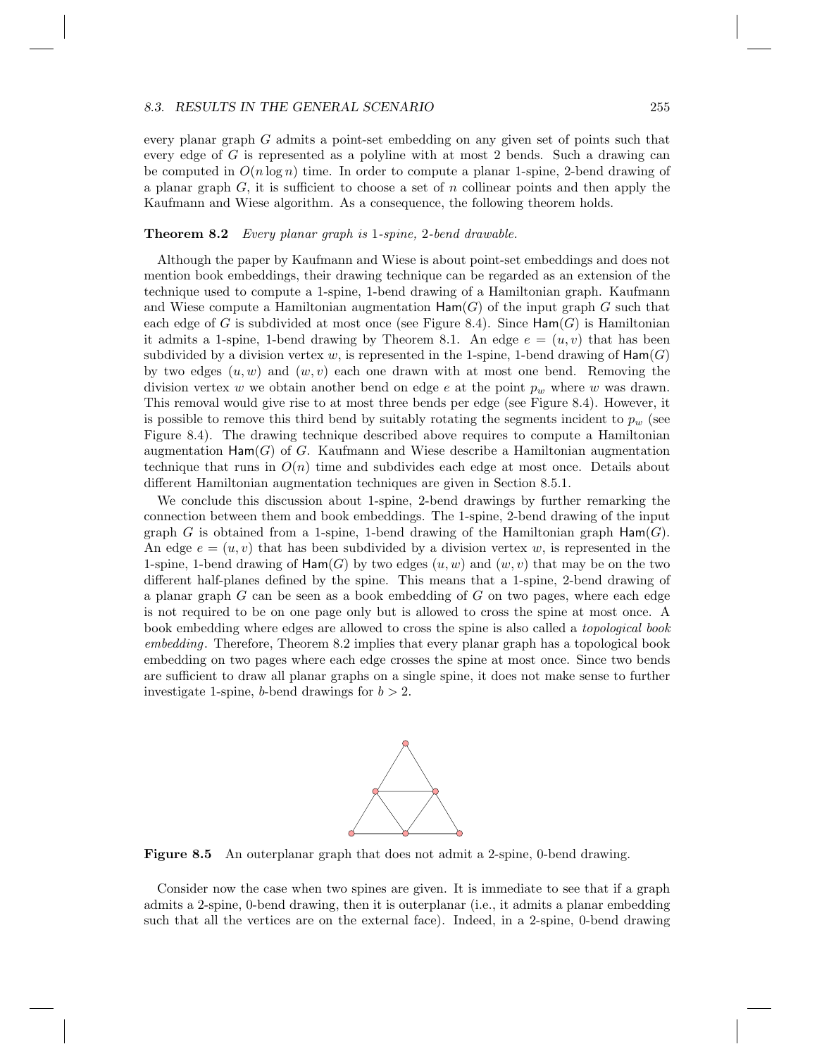every planar graph G admits a point-set embedding on any given set of points such that every edge of G is represented as a polyline with at most 2 bends. Such a drawing can be computed in  $O(n \log n)$  time. In order to compute a planar 1-spine, 2-bend drawing of a planar graph  $G$ , it is sufficient to choose a set of n collinear points and then apply the Kaufmann and Wiese algorithm. As a consequence, the following theorem holds.

### Theorem 8.2 *Every planar graph is* 1*-spine,* 2*-bend drawable.*

Although the paper by Kaufmann and Wiese is about point-set embeddings and does not mention book embeddings, their drawing technique can be regarded as an extension of the technique used to compute a 1-spine, 1-bend drawing of a Hamiltonian graph. Kaufmann and Wiese compute a Hamiltonian augmentation  $\text{Ham}(G)$  of the input graph G such that each edge of G is subdivided at most once (see Figure 8.4). Since  $\text{Ham}(G)$  is Hamiltonian it admits a 1-spine, 1-bend drawing by Theorem 8.1. An edge  $e = (u, v)$  that has been subdivided by a division vertex w, is represented in the 1-spine, 1-bend drawing of  $\text{Ham}(G)$ by two edges  $(u, w)$  and  $(w, v)$  each one drawn with at most one bend. Removing the division vertex w we obtain another bend on edge e at the point  $p_w$  where w was drawn. This removal would give rise to at most three bends per edge (see Figure 8.4). However, it is possible to remove this third bend by suitably rotating the segments incident to  $p_w$  (see Figure 8.4). The drawing technique described above requires to compute a Hamiltonian augmentation  $\text{Ham}(G)$  of G. Kaufmann and Wiese describe a Hamiltonian augmentation technique that runs in  $O(n)$  time and subdivides each edge at most once. Details about different Hamiltonian augmentation techniques are given in Section 8.5.1.

We conclude this discussion about 1-spine, 2-bend drawings by further remarking the connection between them and book embeddings. The 1-spine, 2-bend drawing of the input graph G is obtained from a 1-spine, 1-bend drawing of the Hamiltonian graph  $\text{Ham}(G)$ . An edge  $e = (u, v)$  that has been subdivided by a division vertex w, is represented in the 1-spine, 1-bend drawing of  $\text{Ham}(G)$  by two edges  $(u, w)$  and  $(w, v)$  that may be on the two different half-planes defined by the spine. This means that a 1-spine, 2-bend drawing of a planar graph  $G$  can be seen as a book embedding of  $G$  on two pages, where each edge is not required to be on one page only but is allowed to cross the spine at most once. A book embedding where edges are allowed to cross the spine is also called a *topological book embedding*. Therefore, Theorem 8.2 implies that every planar graph has a topological book embedding on two pages where each edge crosses the spine at most once. Since two bends are sufficient to draw all planar graphs on a single spine, it does not make sense to further investigate 1-spine, b-bend drawings for  $b > 2$ .



Figure 8.5 An outerplanar graph that does not admit a 2-spine, 0-bend drawing.

Consider now the case when two spines are given. It is immediate to see that if a graph admits a 2-spine, 0-bend drawing, then it is outerplanar (i.e., it admits a planar embedding such that all the vertices are on the external face). Indeed, in a 2-spine, 0-bend drawing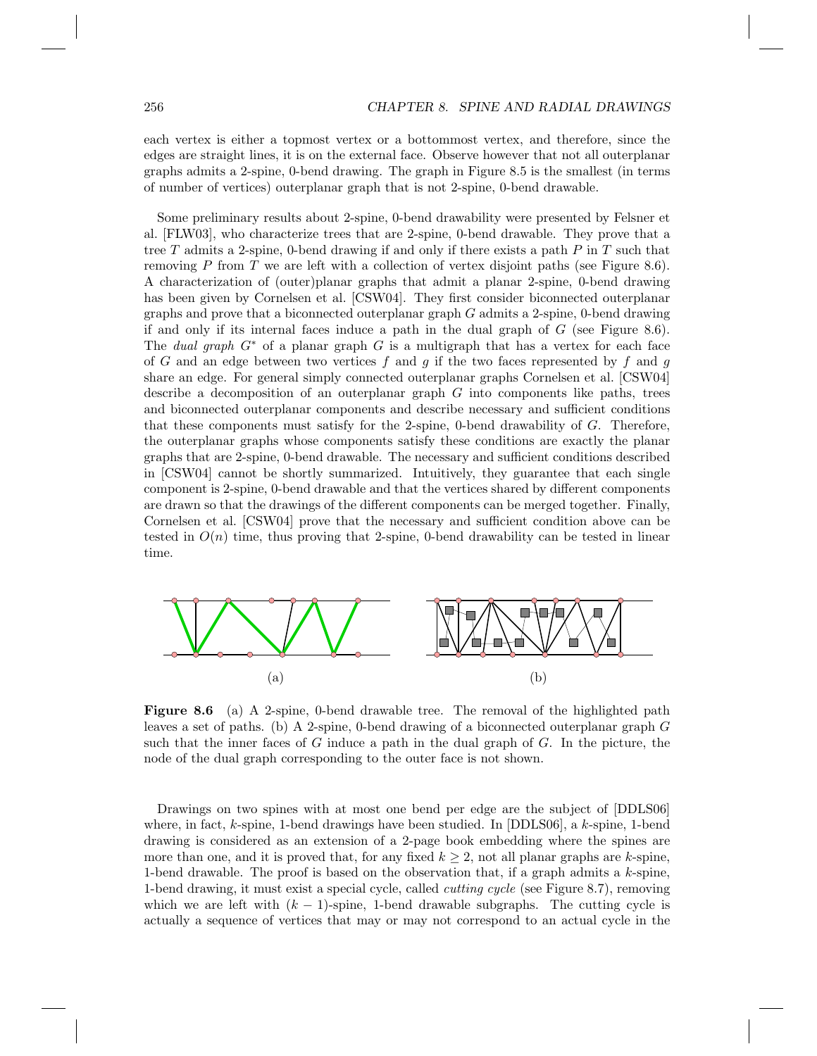each vertex is either a topmost vertex or a bottommost vertex, and therefore, since the edges are straight lines, it is on the external face. Observe however that not all outerplanar graphs admits a 2-spine, 0-bend drawing. The graph in Figure 8.5 is the smallest (in terms of number of vertices) outerplanar graph that is not 2-spine, 0-bend drawable.

Some preliminary results about 2-spine, 0-bend drawability were presented by Felsner et al. [FLW03], who characterize trees that are 2-spine, 0-bend drawable. They prove that a tree  $T$  admits a 2-spine, 0-bend drawing if and only if there exists a path  $P$  in  $T$  such that removing P from T we are left with a collection of vertex disjoint paths (see Figure 8.6). A characterization of (outer)planar graphs that admit a planar 2-spine, 0-bend drawing has been given by Cornelsen et al. [CSW04]. They first consider biconnected outerplanar graphs and prove that a biconnected outerplanar graph  $G$  admits a 2-spine, 0-bend drawing if and only if its internal faces induce a path in the dual graph of  $G$  (see Figure 8.6). The *dual graph* G<sup>∗</sup> of a planar graph G is a multigraph that has a vertex for each face of G and an edge between two vertices f and q if the two faces represented by f and q share an edge. For general simply connected outerplanar graphs Cornelsen et al. [CSW04] describe a decomposition of an outerplanar graph  $G$  into components like paths, trees and biconnected outerplanar components and describe necessary and sufficient conditions that these components must satisfy for the 2-spine, 0-bend drawability of G. Therefore, the outerplanar graphs whose components satisfy these conditions are exactly the planar graphs that are 2-spine, 0-bend drawable. The necessary and sufficient conditions described in [CSW04] cannot be shortly summarized. Intuitively, they guarantee that each single component is 2-spine, 0-bend drawable and that the vertices shared by different components are drawn so that the drawings of the different components can be merged together. Finally, Cornelsen et al. [CSW04] prove that the necessary and sufficient condition above can be tested in  $O(n)$  time, thus proving that 2-spine, 0-bend drawability can be tested in linear time.



Figure 8.6 (a) A 2-spine, 0-bend drawable tree. The removal of the highlighted path leaves a set of paths. (b) A 2-spine, 0-bend drawing of a biconnected outerplanar graph G such that the inner faces of G induce a path in the dual graph of  $G$ . In the picture, the node of the dual graph corresponding to the outer face is not shown.

Drawings on two spines with at most one bend per edge are the subject of [DDLS06] where, in fact,  $k$ -spine, 1-bend drawings have been studied. In [DDLS06], a  $k$ -spine, 1-bend drawing is considered as an extension of a 2-page book embedding where the spines are more than one, and it is proved that, for any fixed  $k \geq 2$ , not all planar graphs are k-spine, 1-bend drawable. The proof is based on the observation that, if a graph admits a k-spine, 1-bend drawing, it must exist a special cycle, called *cutting cycle* (see Figure 8.7), removing which we are left with  $(k - 1)$ -spine, 1-bend drawable subgraphs. The cutting cycle is actually a sequence of vertices that may or may not correspond to an actual cycle in the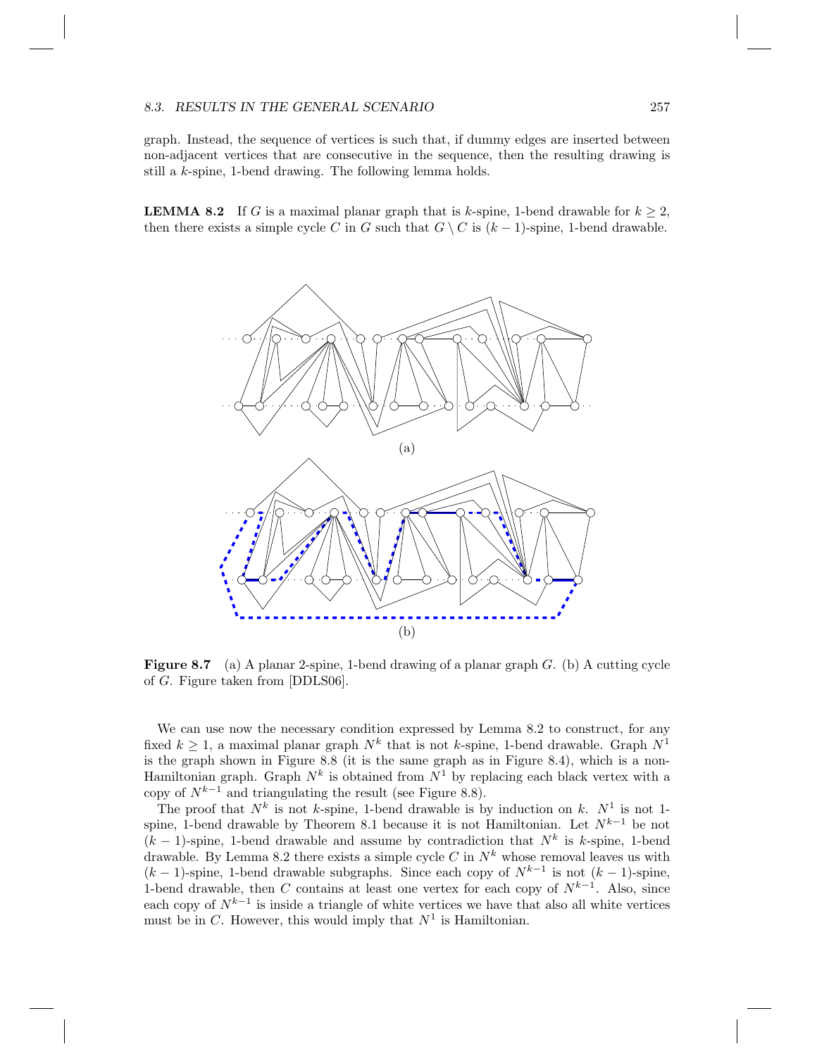graph. Instead, the sequence of vertices is such that, if dummy edges are inserted between non-adjacent vertices that are consecutive in the sequence, then the resulting drawing is still a k-spine, 1-bend drawing. The following lemma holds.

**LEMMA 8.2** If G is a maximal planar graph that is k-spine, 1-bend drawable for  $k \geq 2$ , then there exists a simple cycle C in G such that  $G \setminus C$  is  $(k-1)$ -spine, 1-bend drawable.



**Figure 8.7** (a) A planar 2-spine, 1-bend drawing of a planar graph  $G$ . (b) A cutting cycle of G. Figure taken from [DDLS06].

We can use now the necessary condition expressed by Lemma 8.2 to construct, for any fixed  $k \geq 1$ , a maximal planar graph  $N^k$  that is not k-spine, 1-bend drawable. Graph  $N^1$ is the graph shown in Figure 8.8 (it is the same graph as in Figure 8.4), which is a non-Hamiltonian graph. Graph  $N^k$  is obtained from  $N^1$  by replacing each black vertex with a copy of  $N^{k-1}$  and triangulating the result (see Figure 8.8).

The proof that  $N^k$  is not k-spine, 1-bend drawable is by induction on k.  $N^1$  is not 1spine, 1-bend drawable by Theorem 8.1 because it is not Hamiltonian. Let  $N^{k-1}$  be not  $(k-1)$ -spine, 1-bend drawable and assume by contradiction that  $N^k$  is k-spine, 1-bend drawable. By Lemma 8.2 there exists a simple cycle C in  $N^k$  whose removal leaves us with  $(k-1)$ -spine, 1-bend drawable subgraphs. Since each copy of  $N^{k-1}$  is not  $(k-1)$ -spine, 1-bend drawable, then C contains at least one vertex for each copy of  $N^{k-1}$ . Also, since each copy of  $N^{k-1}$  is inside a triangle of white vertices we have that also all white vertices must be in C. However, this would imply that  $N^1$  is Hamiltonian.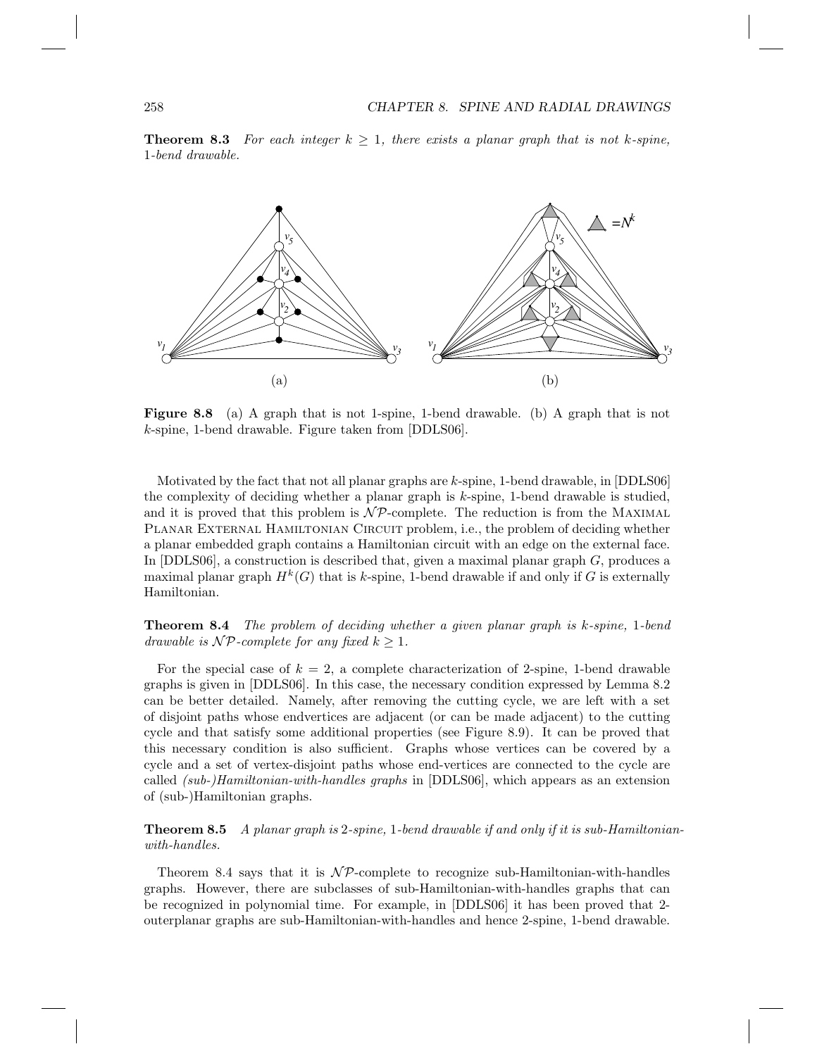**Theorem 8.3** For each integer  $k \geq 1$ , there exists a planar graph that is not k-spine, 1*-bend drawable.*



Figure 8.8 (a) A graph that is not 1-spine, 1-bend drawable. (b) A graph that is not k-spine, 1-bend drawable. Figure taken from [DDLS06].

Motivated by the fact that not all planar graphs are  $k$ -spine, 1-bend drawable, in [DDLS06] the complexity of deciding whether a planar graph is  $k$ -spine, 1-bend drawable is studied, and it is proved that this problem is  $\mathcal{NP}$ -complete. The reduction is from the MAXIMAL PLANAR EXTERNAL HAMILTONIAN CIRCUIT problem, i.e., the problem of deciding whether a planar embedded graph contains a Hamiltonian circuit with an edge on the external face. In  $[DDLS06]$ , a construction is described that, given a maximal planar graph  $G$ , produces a maximal planar graph  $H^k(G)$  that is k-spine, 1-bend drawable if and only if G is externally Hamiltonian.

Theorem 8.4 *The problem of deciding whether a given planar graph is* k*-spine,* 1*-bend drawable is*  $\mathcal{NP}$ *-complete for any fixed*  $k \geq 1$ *.* 

For the special case of  $k = 2$ , a complete characterization of 2-spine, 1-bend drawable graphs is given in [DDLS06]. In this case, the necessary condition expressed by Lemma 8.2 can be better detailed. Namely, after removing the cutting cycle, we are left with a set of disjoint paths whose endvertices are adjacent (or can be made adjacent) to the cutting cycle and that satisfy some additional properties (see Figure 8.9). It can be proved that this necessary condition is also sufficient. Graphs whose vertices can be covered by a cycle and a set of vertex-disjoint paths whose end-vertices are connected to the cycle are called *(sub-)Hamiltonian-with-handles graphs* in [DDLS06], which appears as an extension of (sub-)Hamiltonian graphs.

Theorem 8.5 *A planar graph is* 2*-spine,* 1*-bend drawable if and only if it is sub-Hamiltonianwith-handles.*

Theorem 8.4 says that it is  $N\mathcal{P}$ -complete to recognize sub-Hamiltonian-with-handles graphs. However, there are subclasses of sub-Hamiltonian-with-handles graphs that can be recognized in polynomial time. For example, in [DDLS06] it has been proved that 2 outerplanar graphs are sub-Hamiltonian-with-handles and hence 2-spine, 1-bend drawable.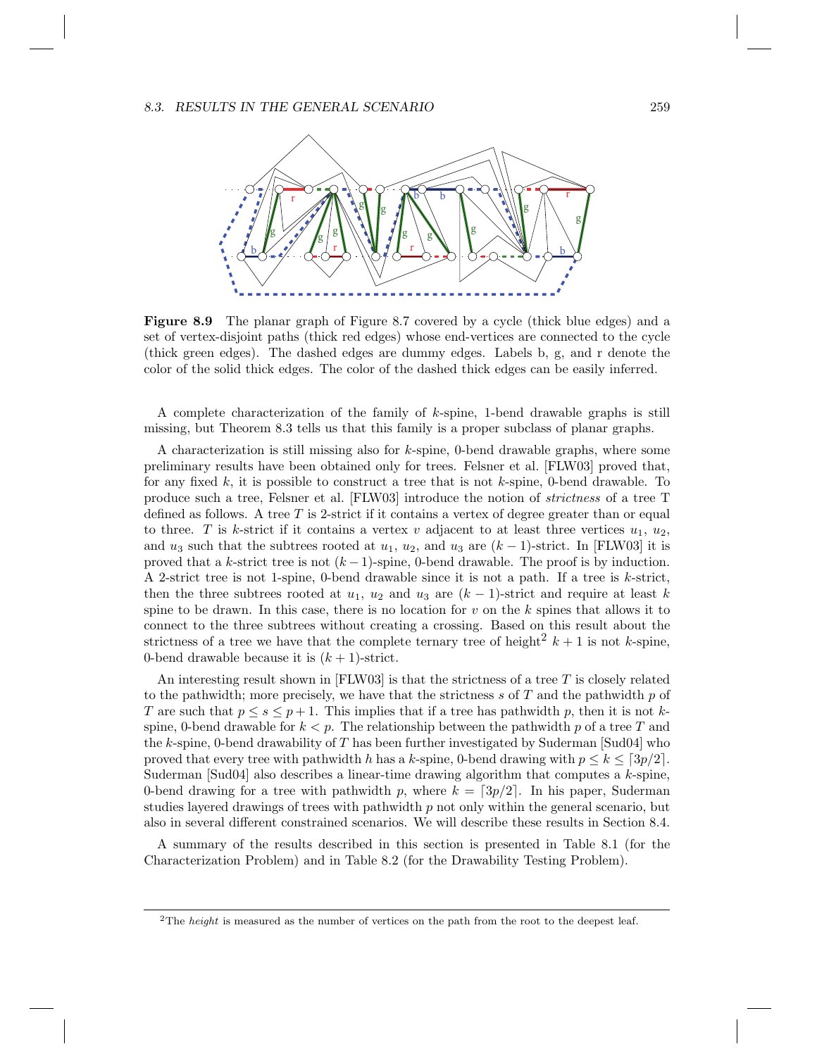

Figure 8.9 The planar graph of Figure 8.7 covered by a cycle (thick blue edges) and a set of vertex-disjoint paths (thick red edges) whose end-vertices are connected to the cycle (thick green edges). The dashed edges are dummy edges. Labels b, g, and r denote the color of the solid thick edges. The color of the dashed thick edges can be easily inferred.

A complete characterization of the family of  $k$ -spine, 1-bend drawable graphs is still missing, but Theorem 8.3 tells us that this family is a proper subclass of planar graphs.

A characterization is still missing also for  $k$ -spine, 0-bend drawable graphs, where some preliminary results have been obtained only for trees. Felsner et al. [FLW03] proved that, for any fixed  $k$ , it is possible to construct a tree that is not  $k$ -spine, 0-bend drawable. To produce such a tree, Felsner et al. [FLW03] introduce the notion of *strictness* of a tree T defined as follows. A tree  $T$  is 2-strict if it contains a vertex of degree greater than or equal to three. T is k-strict if it contains a vertex v adjacent to at least three vertices  $u_1, u_2$ , and  $u_3$  such that the subtrees rooted at  $u_1, u_2$ , and  $u_3$  are  $(k-1)$ -strict. In [FLW03] it is proved that a k-strict tree is not  $(k-1)$ -spine, 0-bend drawable. The proof is by induction. A 2-strict tree is not 1-spine, 0-bend drawable since it is not a path. If a tree is k-strict, then the three subtrees rooted at  $u_1, u_2$  and  $u_3$  are  $(k-1)$ -strict and require at least k spine to be drawn. In this case, there is no location for  $v$  on the  $k$  spines that allows it to connect to the three subtrees without creating a crossing. Based on this result about the strictness of a tree we have that the complete ternary tree of height<sup>2</sup>  $k + 1$  is not k-spine, 0-bend drawable because it is  $(k + 1)$ -strict.

An interesting result shown in [FLW03] is that the strictness of a tree T is closely related to the pathwidth; more precisely, we have that the strictness s of  $T$  and the pathwidth  $p$  of T are such that  $p \leq s \leq p+1$ . This implies that if a tree has pathwidth p, then it is not kspine, 0-bend drawable for  $k < p$ . The relationship between the pathwidth p of a tree T and the k-spine, 0-bend drawability of T has been further investigated by Suderman [Sud04] who proved that every tree with pathwidth h has a k-spine, 0-bend drawing with  $p \leq k \leq \lceil 3p/2 \rceil$ . Suderman  $\lceil \text{Sud04} \rceil$  also describes a linear-time drawing algorithm that computes a k-spine, 0-bend drawing for a tree with pathwidth p, where  $k = \lceil 3p/2 \rceil$ . In his paper, Suderman studies layered drawings of trees with pathwidth  $p$  not only within the general scenario, but also in several different constrained scenarios. We will describe these results in Section 8.4.

A summary of the results described in this section is presented in Table 8.1 (for the Characterization Problem) and in Table 8.2 (for the Drawability Testing Problem).

<sup>&</sup>lt;sup>2</sup>The *height* is measured as the number of vertices on the path from the root to the deepest leaf.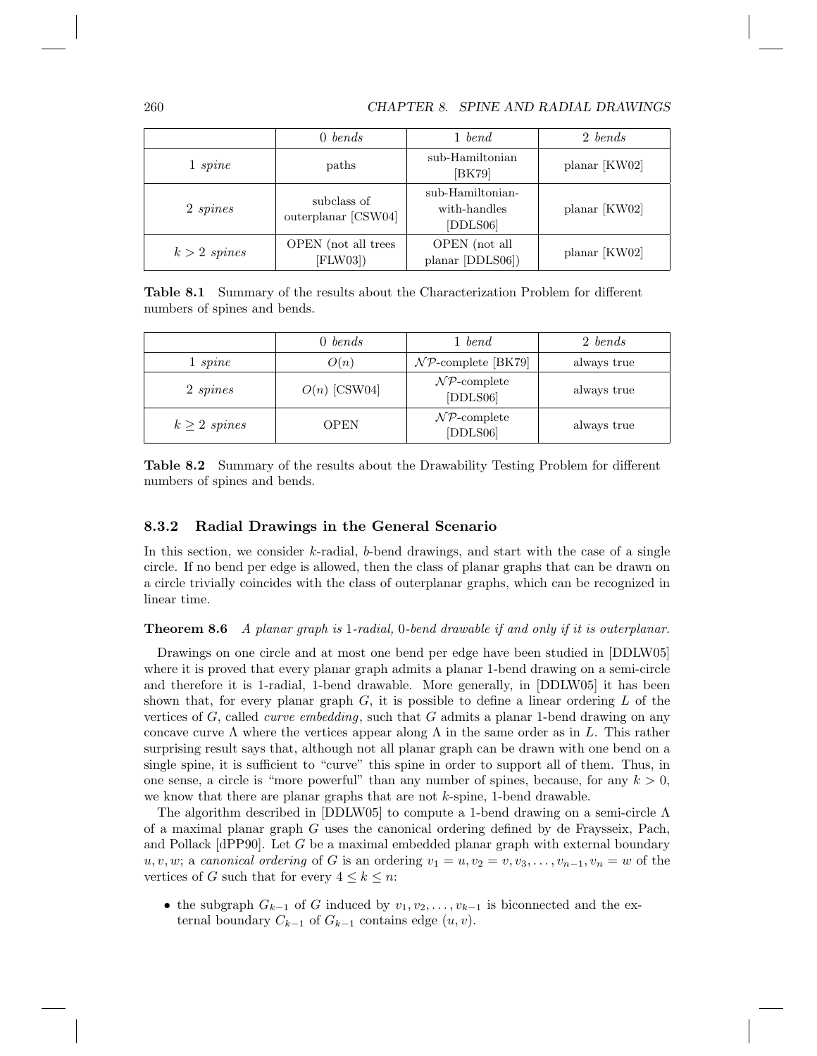| 260 | CHAPTER 8. SPINE AND RADIAL DRAWINGS |  |
|-----|--------------------------------------|--|
|     |                                      |  |

|                | $0$ bends                          | $1$ bend                                     | 2 bends       |
|----------------|------------------------------------|----------------------------------------------|---------------|
| 1 spine        | paths                              | sub-Hamiltonian<br>[BK79]                    | planar [KW02] |
| 2 spines       | subclass of<br>outerplanar [CSW04] | sub-Hamiltonian-<br>with-handles<br>[DDLS06] | planar [KW02] |
| $k > 2$ spines | OPEN (not all trees<br>[FLW03])    | OPEN (not all<br>planar [DDLS06])            | planar [KW02] |

Table 8.1 Summary of the results about the Characterization Problem for different numbers of spines and bends.

|                   | $0$ bends      | $1$ bend                             | 2 bends     |
|-------------------|----------------|--------------------------------------|-------------|
| 1 spine           | O(n)           | $\mathcal{NP}$ -complete [BK79]      | always true |
| 2 spines          | $O(n)$ [CSW04] | $\mathcal{NP}$ -complete<br>[DDLS06] | always true |
| $k \geq 2$ spines | <b>OPEN</b>    | $\mathcal{NP}$ -complete<br>[DDLS06] | always true |

Table 8.2 Summary of the results about the Drawability Testing Problem for different numbers of spines and bends.

### 8.3.2 Radial Drawings in the General Scenario

In this section, we consider  $k$ -radial,  $b$ -bend drawings, and start with the case of a single circle. If no bend per edge is allowed, then the class of planar graphs that can be drawn on a circle trivially coincides with the class of outerplanar graphs, which can be recognized in linear time.

Theorem 8.6 *A planar graph is* 1*-radial,* 0*-bend drawable if and only if it is outerplanar.*

Drawings on one circle and at most one bend per edge have been studied in [DDLW05] where it is proved that every planar graph admits a planar 1-bend drawing on a semi-circle and therefore it is 1-radial, 1-bend drawable. More generally, in [DDLW05] it has been shown that, for every planar graph  $G$ , it is possible to define a linear ordering  $L$  of the vertices of G, called *curve embedding*, such that G admits a planar 1-bend drawing on any concave curve  $\Lambda$  where the vertices appear along  $\Lambda$  in the same order as in L. This rather surprising result says that, although not all planar graph can be drawn with one bend on a single spine, it is sufficient to "curve" this spine in order to support all of them. Thus, in one sense, a circle is "more powerful" than any number of spines, because, for any  $k > 0$ , we know that there are planar graphs that are not k-spine, 1-bend drawable.

The algorithm described in [DDLW05] to compute a 1-bend drawing on a semi-circle  $\Lambda$ of a maximal planar graph  $G$  uses the canonical ordering defined by de Fraysseix, Pach, and Pollack [dPP90]. Let G be a maximal embedded planar graph with external boundary u, v, w; a *canonical ordering* of G is an ordering  $v_1 = u, v_2 = v, v_3, \ldots, v_{n-1}, v_n = w$  of the vertices of G such that for every  $4 \leq k \leq n$ :

• the subgraph  $G_{k-1}$  of G induced by  $v_1, v_2, \ldots, v_{k-1}$  is biconnected and the external boundary  $C_{k-1}$  of  $G_{k-1}$  contains edge  $(u, v)$ .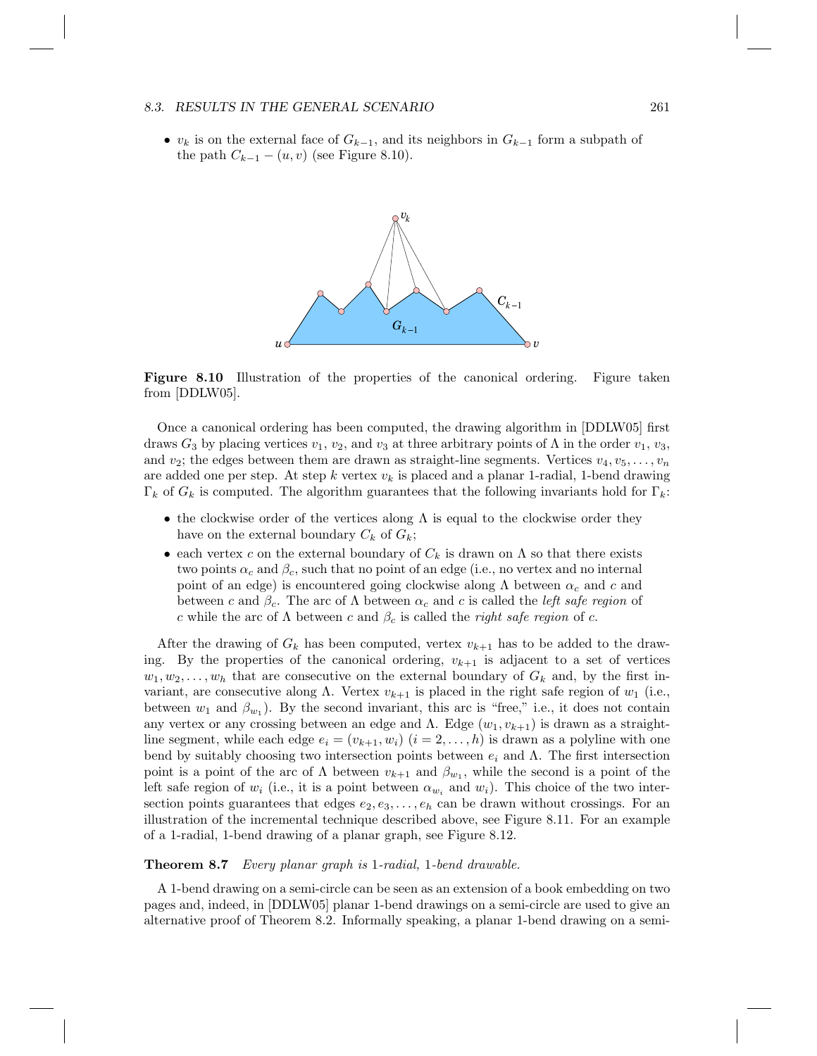•  $v_k$  is on the external face of  $G_{k-1}$ , and its neighbors in  $G_{k-1}$  form a subpath of the path  $C_{k-1} - (u, v)$  (see Figure 8.10).



Figure 8.10 Illustration of the properties of the canonical ordering. Figure taken from [DDLW05].

Once a canonical ordering has been computed, the drawing algorithm in [DDLW05] first draws  $G_3$  by placing vertices  $v_1, v_2$ , and  $v_3$  at three arbitrary points of  $\Lambda$  in the order  $v_1, v_3$ , and  $v_2$ ; the edges between them are drawn as straight-line segments. Vertices  $v_4, v_5, \ldots, v_n$ are added one per step. At step k vertex  $v_k$  is placed and a planar 1-radial, 1-bend drawing  $\Gamma_k$  of  $G_k$  is computed. The algorithm guarantees that the following invariants hold for  $\Gamma_k$ :

- the clockwise order of the vertices along  $\Lambda$  is equal to the clockwise order they have on the external boundary  $C_k$  of  $G_k$ ;
- each vertex c on the external boundary of  $C_k$  is drawn on  $\Lambda$  so that there exists two points  $\alpha_c$  and  $\beta_c$ , such that no point of an edge (i.e., no vertex and no internal point of an edge) is encountered going clockwise along  $\Lambda$  between  $\alpha_c$  and c and between c and  $\beta_c$ . The arc of  $\Lambda$  between  $\alpha_c$  and c is called the *left safe region* of c while the arc of  $\Lambda$  between c and  $\beta_c$  is called the *right safe region* of c.

After the drawing of  $G_k$  has been computed, vertex  $v_{k+1}$  has to be added to the drawing. By the properties of the canonical ordering,  $v_{k+1}$  is adjacent to a set of vertices  $w_1, w_2, \ldots, w_h$  that are consecutive on the external boundary of  $G_k$  and, by the first invariant, are consecutive along  $\Lambda$ . Vertex  $v_{k+1}$  is placed in the right safe region of  $w_1$  (i.e., between  $w_1$  and  $\beta_{w_1}$ ). By the second invariant, this arc is "free," i.e., it does not contain any vertex or any crossing between an edge and  $\Lambda$ . Edge  $(w_1, v_{k+1})$  is drawn as a straightline segment, while each edge  $e_i = (v_{k+1}, w_i)$   $(i = 2, ..., h)$  is drawn as a polyline with one bend by suitably choosing two intersection points between  $e_i$  and  $\Lambda$ . The first intersection point is a point of the arc of  $\Lambda$  between  $v_{k+1}$  and  $\beta_{w_1}$ , while the second is a point of the left safe region of  $w_i$  (i.e., it is a point between  $\alpha_{w_i}$  and  $w_i$ ). This choice of the two intersection points guarantees that edges  $e_2, e_3, \ldots, e_h$  can be drawn without crossings. For an illustration of the incremental technique described above, see Figure 8.11. For an example of a 1-radial, 1-bend drawing of a planar graph, see Figure 8.12.

### Theorem 8.7 *Every planar graph is* 1*-radial,* 1*-bend drawable.*

A 1-bend drawing on a semi-circle can be seen as an extension of a book embedding on two pages and, indeed, in [DDLW05] planar 1-bend drawings on a semi-circle are used to give an alternative proof of Theorem 8.2. Informally speaking, a planar 1-bend drawing on a semi-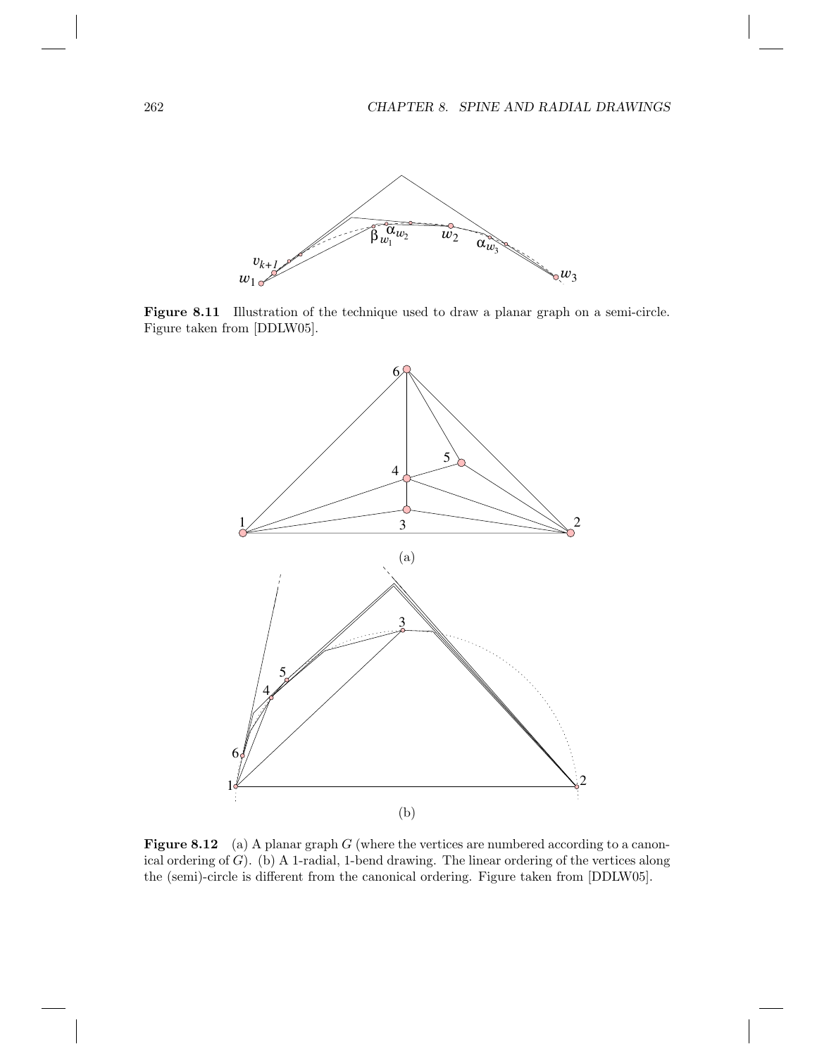

Figure 8.11 Illustration of the technique used to draw a planar graph on a semi-circle. Figure taken from [DDLW05].



**Figure 8.12** (a) A planar graph  $G$  (where the vertices are numbered according to a canonical ordering of  $G$ ). (b) A 1-radial, 1-bend drawing. The linear ordering of the vertices along the (semi)-circle is different from the canonical ordering. Figure taken from [DDLW05].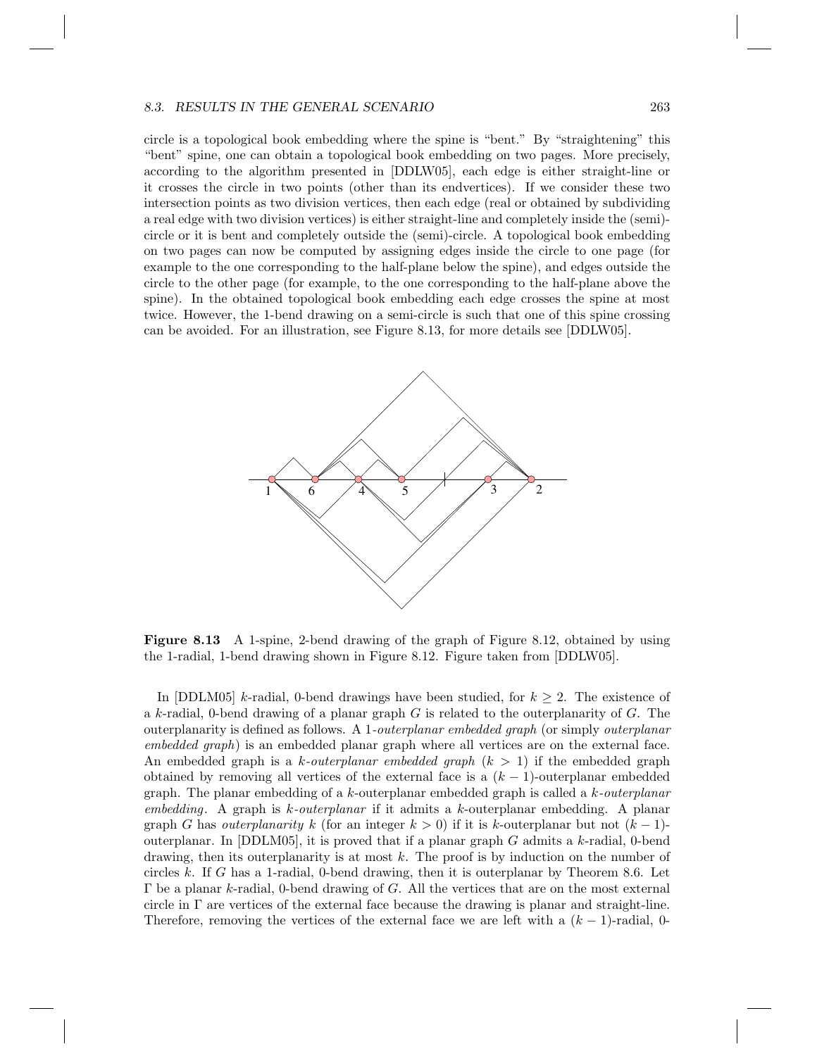circle is a topological book embedding where the spine is "bent." By "straightening" this "bent" spine, one can obtain a topological book embedding on two pages. More precisely, according to the algorithm presented in [DDLW05], each edge is either straight-line or it crosses the circle in two points (other than its endvertices). If we consider these two intersection points as two division vertices, then each edge (real or obtained by subdividing a real edge with two division vertices) is either straight-line and completely inside the (semi) circle or it is bent and completely outside the (semi)-circle. A topological book embedding on two pages can now be computed by assigning edges inside the circle to one page (for example to the one corresponding to the half-plane below the spine), and edges outside the circle to the other page (for example, to the one corresponding to the half-plane above the spine). In the obtained topological book embedding each edge crosses the spine at most twice. However, the 1-bend drawing on a semi-circle is such that one of this spine crossing can be avoided. For an illustration, see Figure 8.13, for more details see [DDLW05].



Figure 8.13 A 1-spine, 2-bend drawing of the graph of Figure 8.12, obtained by using the 1-radial, 1-bend drawing shown in Figure 8.12. Figure taken from [DDLW05].

In [DDLM05] k-radial, 0-bend drawings have been studied, for  $k \geq 2$ . The existence of a k-radial, 0-bend drawing of a planar graph  $G$  is related to the outerplanarity of  $G$ . The outerplanarity is defined as follows. A 1*-outerplanar embedded graph* (or simply *outerplanar embedded graph*) is an embedded planar graph where all vertices are on the external face. An embedded graph is a k*-outerplanar embedded graph* (k > 1) if the embedded graph obtained by removing all vertices of the external face is a  $(k-1)$ -outerplanar embedded graph. The planar embedding of a k-outerplanar embedded graph is called a k*-outerplanar embedding*. A graph is k*-outerplanar* if it admits a k-outerplanar embedding. A planar graph G has *outerplanarity* k (for an integer  $k > 0$ ) if it is k-outerplanar but not  $(k-1)$ outerplanar. In [DDLM05], it is proved that if a planar graph  $G$  admits a k-radial, 0-bend drawing, then its outerplanarity is at most k. The proof is by induction on the number of circles k. If G has a 1-radial, 0-bend drawing, then it is outerplanar by Theorem 8.6. Let  $\Gamma$  be a planar k-radial, 0-bend drawing of G. All the vertices that are on the most external circle in  $\Gamma$  are vertices of the external face because the drawing is planar and straight-line. Therefore, removing the vertices of the external face we are left with a  $(k-1)$ -radial, 0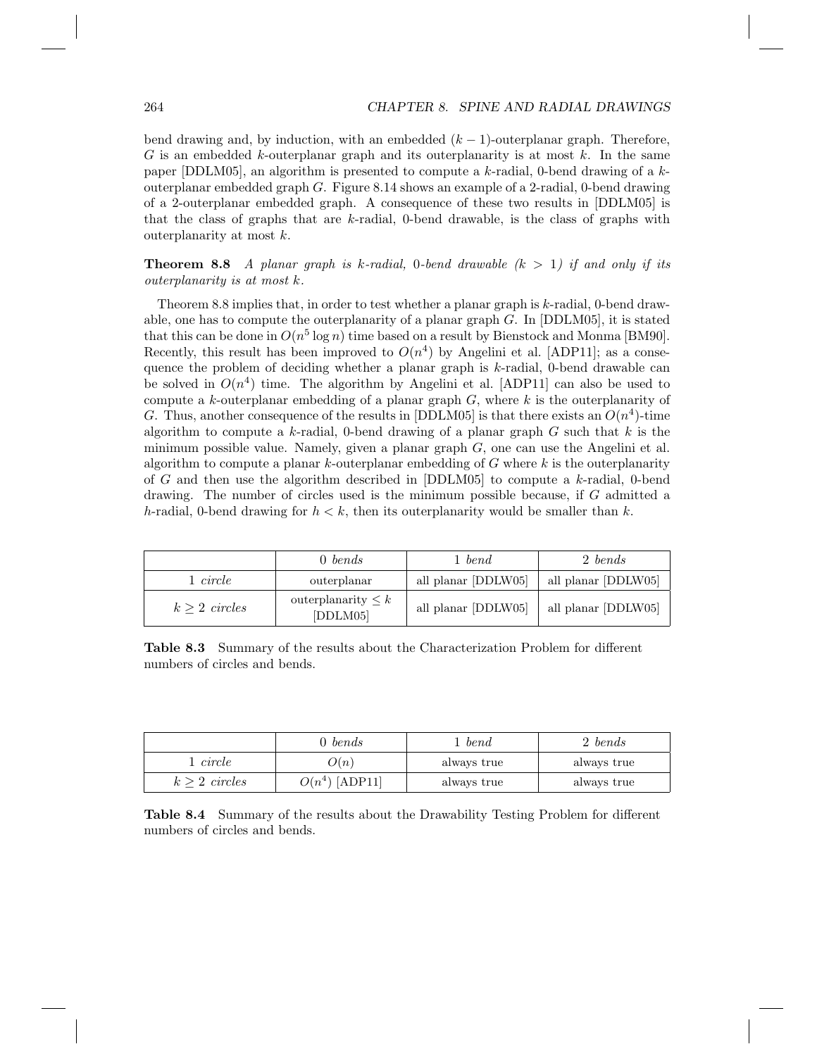bend drawing and, by induction, with an embedded  $(k-1)$ -outerplanar graph. Therefore, G is an embedded k-outerplanar graph and its outerplanarity is at most  $k$ . In the same paper [DDLM05], an algorithm is presented to compute a k-radial, 0-bend drawing of a  $k$ outerplanar embedded graph G. Figure 8.14 shows an example of a 2-radial, 0-bend drawing of a 2-outerplanar embedded graph. A consequence of these two results in [DDLM05] is that the class of graphs that are  $k$ -radial, 0-bend drawable, is the class of graphs with outerplanarity at most  $k$ .

### **Theorem 8.8** *A planar graph is*  $k$ -radial, 0-bend drawable  $(k > 1)$  if and only if its *outerplanarity is at most* k*.*

Theorem 8.8 implies that, in order to test whether a planar graph is  $k$ -radial, 0-bend drawable, one has to compute the outerplanarity of a planar graph  $G$ . In [DDLM05], it is stated that this can be done in  $O(n^5 \log n)$  time based on a result by Bienstock and Monma [BM90]. Recently, this result has been improved to  $O(n^4)$  by Angelini et al. [ADP11]; as a consequence the problem of deciding whether a planar graph is k-radial, 0-bend drawable can be solved in  $O(n^4)$  time. The algorithm by Angelini et al. [ADP11] can also be used to compute a k-outerplanar embedding of a planar graph  $G$ , where k is the outerplanarity of G. Thus, another consequence of the results in [DDLM05] is that there exists an  $O(n^4)$ -time algorithm to compute a k-radial, 0-bend drawing of a planar graph  $G$  such that  $k$  is the minimum possible value. Namely, given a planar graph  $G$ , one can use the Angelini et al. algorithm to compute a planar k-outerplanar embedding of  $G$  where  $k$  is the outerplanarity of G and then use the algorithm described in  $[DDLM05]$  to compute a k-radial, 0-bend drawing. The number of circles used is the minimum possible because, if G admitted a h-radial, 0-bend drawing for  $h < k$ , then its outerplanarity would be smaller than k.

|                     | $0$ bends                           | $1$ bend            | 2 bends             |
|---------------------|-------------------------------------|---------------------|---------------------|
| $\lrcorner\ circle$ | outerplanar                         | all planar [DDLW05] | all planar [DDLW05] |
| $k > 2$ circles     | outerplanarity $\leq k$<br>[DDLM05] | all planar [DDLW05] | all planar [DDLW05] |

Table 8.3 Summary of the results about the Characterization Problem for different numbers of circles and bends.

|                 | $0 \enspace bands$ | bend        | 2 bends     |
|-----------------|--------------------|-------------|-------------|
| circle          | $\mathcal{D}(n)$   | always true | always true |
| $k > 2$ circles | $O(n^4)$ [ADP11]   | always true | always true |

Table 8.4 Summary of the results about the Drawability Testing Problem for different numbers of circles and bends.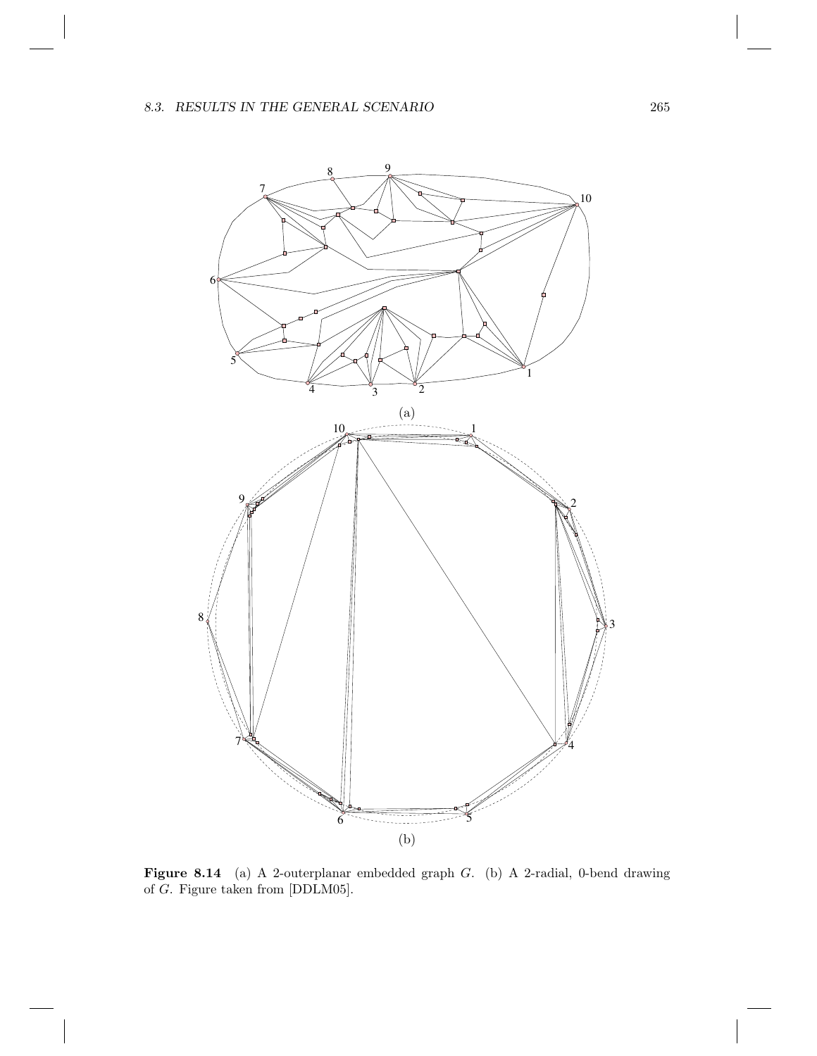

Figure 8.14 (a) A 2-outerplanar embedded graph G. (b) A 2-radial, 0-bend drawing of G. Figure taken from [DDLM05].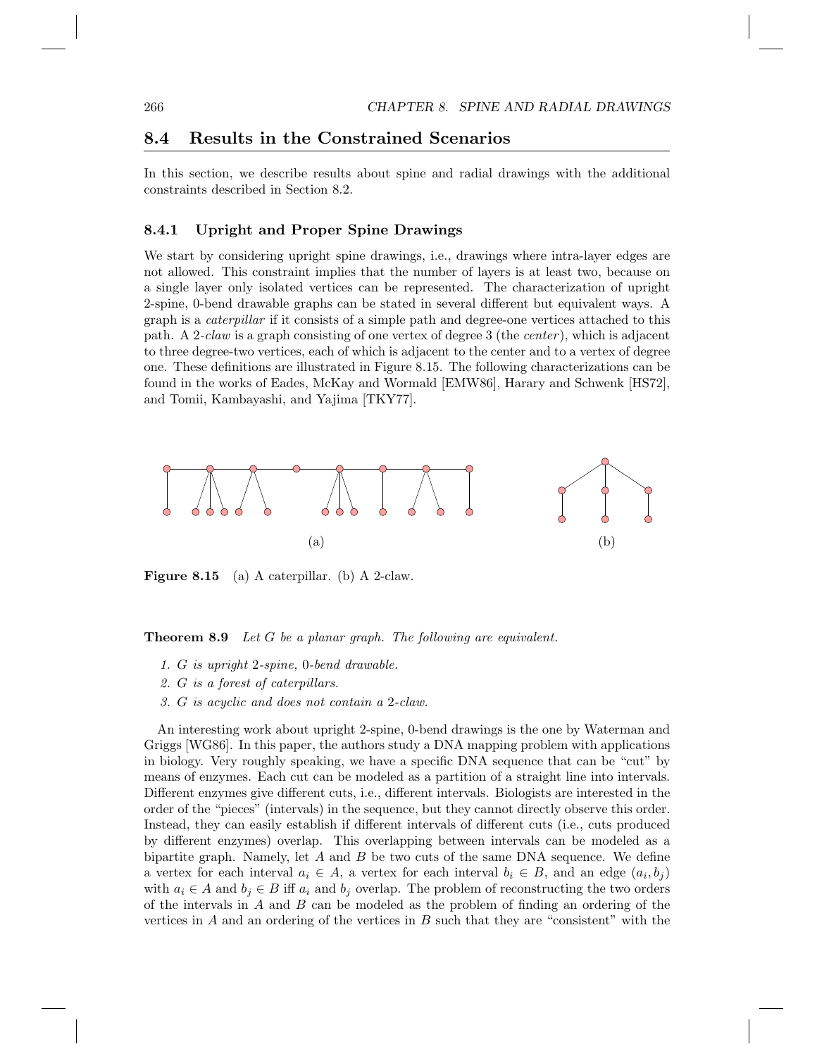# 8.4 Results in the Constrained Scenarios

In this section, we describe results about spine and radial drawings with the additional constraints described in Section 8.2.

### 8.4.1 Upright and Proper Spine Drawings

We start by considering upright spine drawings, i.e., drawings where intra-layer edges are not allowed. This constraint implies that the number of layers is at least two, because on a single layer only isolated vertices can be represented. The characterization of upright 2-spine, 0-bend drawable graphs can be stated in several different but equivalent ways. A graph is a *caterpillar* if it consists of a simple path and degree-one vertices attached to this path. A 2*-claw* is a graph consisting of one vertex of degree 3 (the *center* ), which is adjacent to three degree-two vertices, each of which is adjacent to the center and to a vertex of degree one. These definitions are illustrated in Figure 8.15. The following characterizations can be found in the works of Eades, McKay and Wormald [EMW86], Harary and Schwenk [HS72], and Tomii, Kambayashi, and Yajima [TKY77].



Figure 8.15 (a) A caterpillar. (b) A 2-claw.

Theorem 8.9 *Let* G *be a planar graph. The following are equivalent.*

- *1.* G *is upright* 2*-spine,* 0*-bend drawable.*
- *2.* G *is a forest of caterpillars.*
- *3.* G *is acyclic and does not contain a* 2*-claw.*

An interesting work about upright 2-spine, 0-bend drawings is the one by Waterman and Griggs [WG86]. In this paper, the authors study a DNA mapping problem with applications in biology. Very roughly speaking, we have a specific DNA sequence that can be "cut" by means of enzymes. Each cut can be modeled as a partition of a straight line into intervals. Different enzymes give different cuts, i.e., different intervals. Biologists are interested in the order of the "pieces" (intervals) in the sequence, but they cannot directly observe this order. Instead, they can easily establish if different intervals of different cuts (i.e., cuts produced by different enzymes) overlap. This overlapping between intervals can be modeled as a bipartite graph. Namely, let  $A$  and  $B$  be two cuts of the same DNA sequence. We define a vertex for each interval  $a_i \in A$ , a vertex for each interval  $b_i \in B$ , and an edge  $(a_i, b_j)$ with  $a_i \in A$  and  $b_j \in B$  iff  $a_i$  and  $b_j$  overlap. The problem of reconstructing the two orders of the intervals in  $A$  and  $B$  can be modeled as the problem of finding an ordering of the vertices in A and an ordering of the vertices in  $B$  such that they are "consistent" with the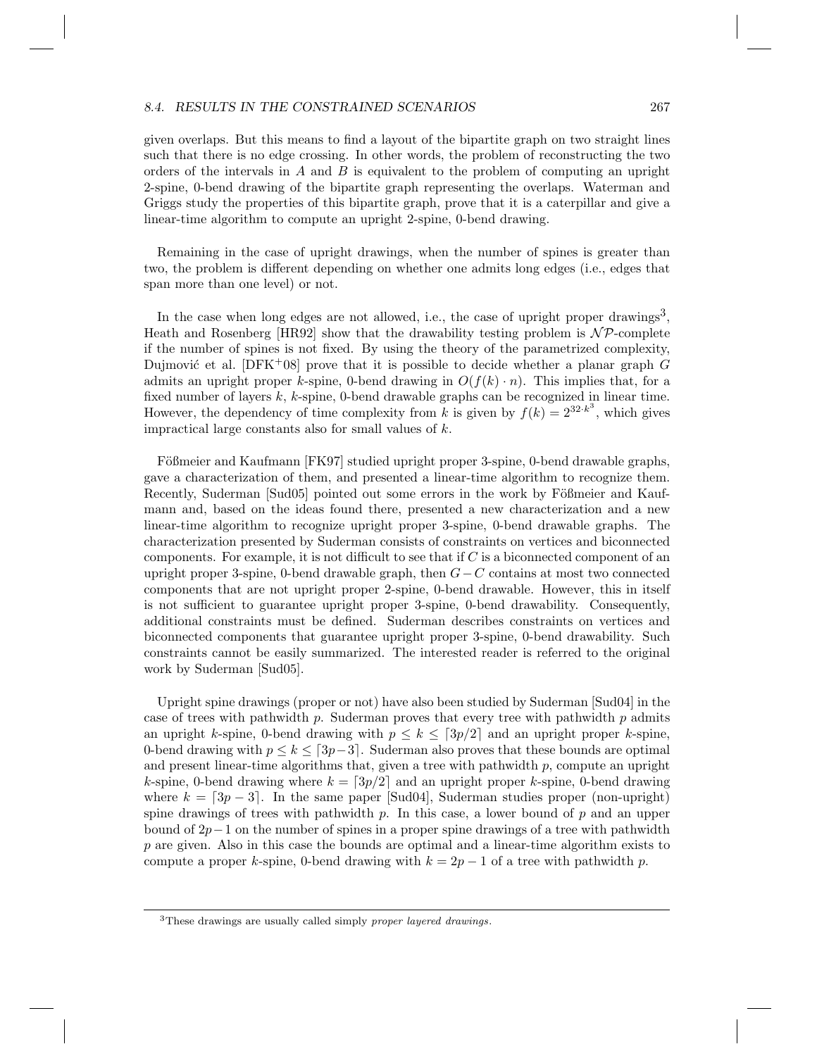### 8.4. RESULTS IN THE CONSTRAINED SCENARIOS 267

given overlaps. But this means to find a layout of the bipartite graph on two straight lines such that there is no edge crossing. In other words, the problem of reconstructing the two orders of the intervals in A and B is equivalent to the problem of computing an upright 2-spine, 0-bend drawing of the bipartite graph representing the overlaps. Waterman and Griggs study the properties of this bipartite graph, prove that it is a caterpillar and give a linear-time algorithm to compute an upright 2-spine, 0-bend drawing.

Remaining in the case of upright drawings, when the number of spines is greater than two, the problem is different depending on whether one admits long edges (i.e., edges that span more than one level) or not.

In the case when long edges are not allowed, i.e., the case of upright proper drawings<sup>3</sup>, Heath and Rosenberg [HR92] show that the drawability testing problem is  $N \mathcal{P}$ -complete if the number of spines is not fixed. By using the theory of the parametrized complexity, Dujmović et al.  $[DFK^+08]$  prove that it is possible to decide whether a planar graph G admits an upright proper k-spine, 0-bend drawing in  $O(f(k) \cdot n)$ . This implies that, for a fixed number of layers k, k-spine, 0-bend drawable graphs can be recognized in linear time. However, the dependency of time complexity from k is given by  $f(k) = 2^{32 \cdot k^3}$ , which gives impractical large constants also for small values of k.

Fößmeier and Kaufmann [FK97] studied upright proper 3-spine, 0-bend drawable graphs, gave a characterization of them, and presented a linear-time algorithm to recognize them. Recently, Suderman [Sud05] pointed out some errors in the work by Fößmeier and Kaufmann and, based on the ideas found there, presented a new characterization and a new linear-time algorithm to recognize upright proper 3-spine, 0-bend drawable graphs. The characterization presented by Suderman consists of constraints on vertices and biconnected components. For example, it is not difficult to see that if  $C$  is a biconnected component of an upright proper 3-spine, 0-bend drawable graph, then  $G-C$  contains at most two connected components that are not upright proper 2-spine, 0-bend drawable. However, this in itself is not sufficient to guarantee upright proper 3-spine, 0-bend drawability. Consequently, additional constraints must be defined. Suderman describes constraints on vertices and biconnected components that guarantee upright proper 3-spine, 0-bend drawability. Such constraints cannot be easily summarized. The interested reader is referred to the original work by Suderman [Sud05].

Upright spine drawings (proper or not) have also been studied by Suderman [Sud04] in the case of trees with pathwidth  $p$ . Suderman proves that every tree with pathwidth  $p$  admits an upright k-spine, 0-bend drawing with  $p \leq k \leq \lceil 3p/2 \rceil$  and an upright proper k-spine, 0-bend drawing with  $p \leq k \leq \lceil 3p-3 \rceil$ . Suderman also proves that these bounds are optimal and present linear-time algorithms that, given a tree with pathwidth  $p$ , compute an upright k-spine, 0-bend drawing where  $k = \lceil 3p/2 \rceil$  and an upright proper k-spine, 0-bend drawing where  $k = \lceil 3p - 3 \rceil$ . In the same paper  $\lceil 5 \cdot 4004 \rceil$ , Suderman studies proper (non-upright) spine drawings of trees with pathwidth  $p$ . In this case, a lower bound of  $p$  and an upper bound of  $2p-1$  on the number of spines in a proper spine drawings of a tree with pathwidth p are given. Also in this case the bounds are optimal and a linear-time algorithm exists to compute a proper k-spine, 0-bend drawing with  $k = 2p - 1$  of a tree with pathwidth p.

<sup>&</sup>lt;sup>3</sup>These drawings are usually called simply *proper layered drawings*.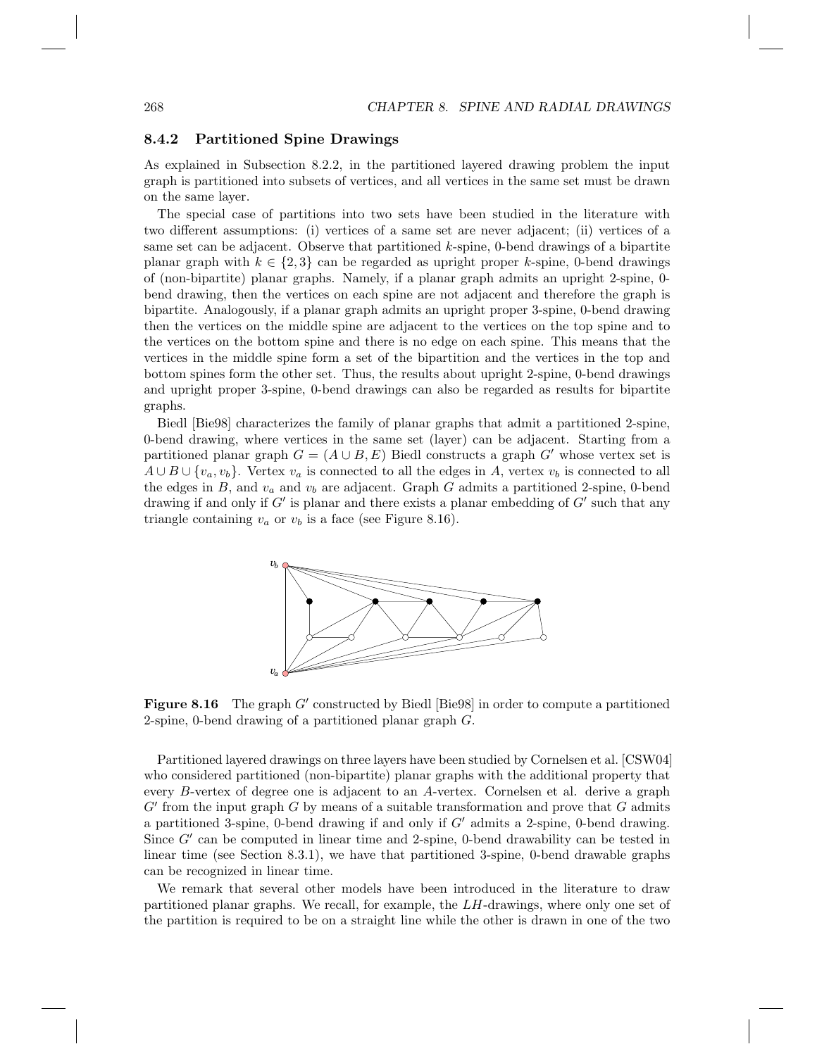### 8.4.2 Partitioned Spine Drawings

As explained in Subsection 8.2.2, in the partitioned layered drawing problem the input graph is partitioned into subsets of vertices, and all vertices in the same set must be drawn on the same layer.

The special case of partitions into two sets have been studied in the literature with two different assumptions: (i) vertices of a same set are never adjacent; (ii) vertices of a same set can be adjacent. Observe that partitioned  $k$ -spine, 0-bend drawings of a bipartite planar graph with  $k \in \{2,3\}$  can be regarded as upright proper k-spine, 0-bend drawings of (non-bipartite) planar graphs. Namely, if a planar graph admits an upright 2-spine, 0 bend drawing, then the vertices on each spine are not adjacent and therefore the graph is bipartite. Analogously, if a planar graph admits an upright proper 3-spine, 0-bend drawing then the vertices on the middle spine are adjacent to the vertices on the top spine and to the vertices on the bottom spine and there is no edge on each spine. This means that the vertices in the middle spine form a set of the bipartition and the vertices in the top and bottom spines form the other set. Thus, the results about upright 2-spine, 0-bend drawings and upright proper 3-spine, 0-bend drawings can also be regarded as results for bipartite graphs.

Biedl [Bie98] characterizes the family of planar graphs that admit a partitioned 2-spine, 0-bend drawing, where vertices in the same set (layer) can be adjacent. Starting from a partitioned planar graph  $G = (A \cup B, E)$  Biedl constructs a graph G' whose vertex set is  $A \cup B \cup \{v_a, v_b\}$ . Vertex  $v_a$  is connected to all the edges in A, vertex  $v_b$  is connected to all the edges in  $B$ , and  $v_a$  and  $v_b$  are adjacent. Graph G admits a partitioned 2-spine, 0-bend drawing if and only if  $G'$  is planar and there exists a planar embedding of  $G'$  such that any triangle containing  $v_a$  or  $v_b$  is a face (see Figure 8.16).



Figure 8.16 The graph  $G'$  constructed by Biedl [Bie98] in order to compute a partitioned 2-spine, 0-bend drawing of a partitioned planar graph G.

Partitioned layered drawings on three layers have been studied by Cornelsen et al. [CSW04] who considered partitioned (non-bipartite) planar graphs with the additional property that every B-vertex of degree one is adjacent to an A-vertex. Cornelsen et al. derive a graph  $G'$  from the input graph  $G$  by means of a suitable transformation and prove that  $G$  admits a partitioned 3-spine, 0-bend drawing if and only if G′ admits a 2-spine, 0-bend drawing. Since  $G'$  can be computed in linear time and 2-spine, 0-bend drawability can be tested in linear time (see Section 8.3.1), we have that partitioned 3-spine, 0-bend drawable graphs can be recognized in linear time.

We remark that several other models have been introduced in the literature to draw partitioned planar graphs. We recall, for example, the LH-drawings, where only one set of the partition is required to be on a straight line while the other is drawn in one of the two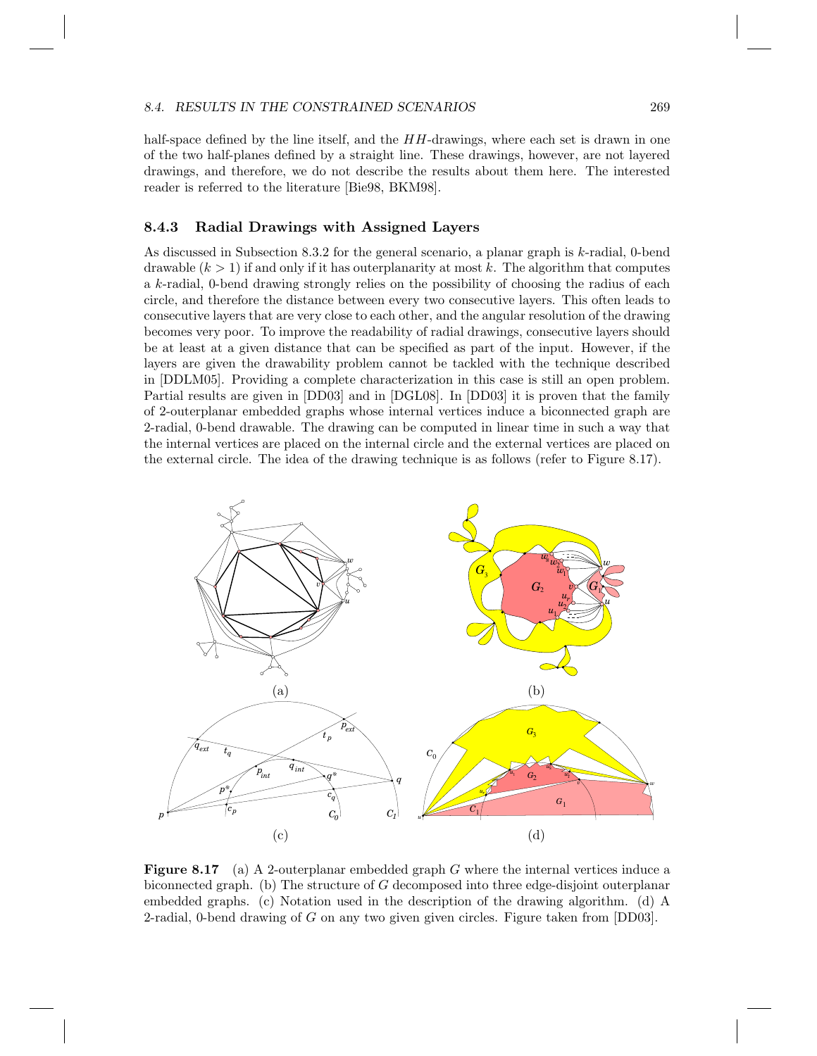half-space defined by the line itself, and the  $HH$ -drawings, where each set is drawn in one of the two half-planes defined by a straight line. These drawings, however, are not layered drawings, and therefore, we do not describe the results about them here. The interested reader is referred to the literature [Bie98, BKM98].

### 8.4.3 Radial Drawings with Assigned Layers

As discussed in Subsection 8.3.2 for the general scenario, a planar graph is k-radial, 0-bend drawable  $(k > 1)$  if and only if it has outerplanarity at most k. The algorithm that computes a k-radial, 0-bend drawing strongly relies on the possibility of choosing the radius of each circle, and therefore the distance between every two consecutive layers. This often leads to consecutive layers that are very close to each other, and the angular resolution of the drawing becomes very poor. To improve the readability of radial drawings, consecutive layers should be at least at a given distance that can be specified as part of the input. However, if the layers are given the drawability problem cannot be tackled with the technique described in [DDLM05]. Providing a complete characterization in this case is still an open problem. Partial results are given in [DD03] and in [DGL08]. In [DD03] it is proven that the family of 2-outerplanar embedded graphs whose internal vertices induce a biconnected graph are 2-radial, 0-bend drawable. The drawing can be computed in linear time in such a way that the internal vertices are placed on the internal circle and the external vertices are placed on the external circle. The idea of the drawing technique is as follows (refer to Figure 8.17).



Figure 8.17 (a) A 2-outerplanar embedded graph G where the internal vertices induce a biconnected graph. (b) The structure of G decomposed into three edge-disjoint outerplanar embedded graphs. (c) Notation used in the description of the drawing algorithm. (d) A 2-radial, 0-bend drawing of G on any two given given circles. Figure taken from [DD03].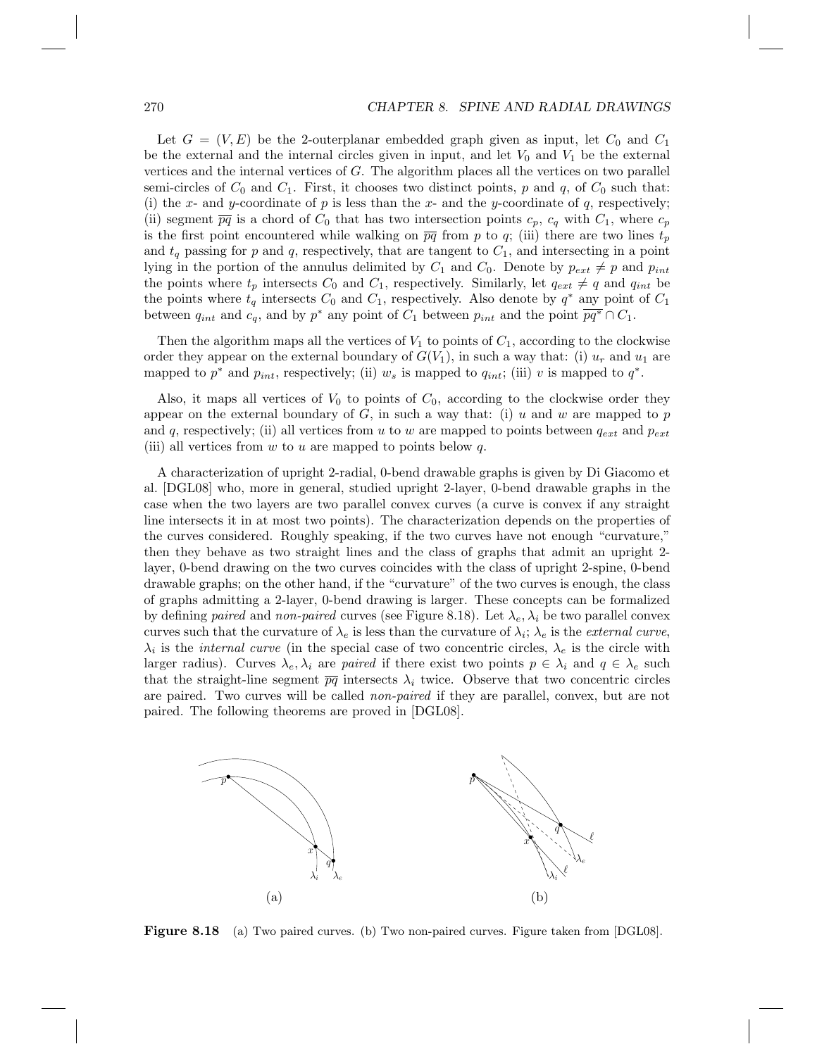Let  $G = (V, E)$  be the 2-outerplanar embedded graph given as input, let  $C_0$  and  $C_1$ be the external and the internal circles given in input, and let  $V_0$  and  $V_1$  be the external vertices and the internal vertices of G. The algorithm places all the vertices on two parallel semi-circles of  $C_0$  and  $C_1$ . First, it chooses two distinct points, p and q, of  $C_0$  such that: (i) the x- and y-coordinate of p is less than the x- and the y-coordinate of q, respectively; (ii) segment  $\overline{pq}$  is a chord of  $C_0$  that has two intersection points  $c_p$ ,  $c_q$  with  $C_1$ , where  $c_p$ is the first point encountered while walking on  $\overline{pq}$  from p to q; (iii) there are two lines  $t_p$ and  $t_q$  passing for p and q, respectively, that are tangent to  $C_1$ , and intersecting in a point lying in the portion of the annulus delimited by  $C_1$  and  $C_0$ . Denote by  $p_{ext} \neq p$  and  $p_{int}$ the points where  $t_p$  intersects  $C_0$  and  $C_1$ , respectively. Similarly, let  $q_{ext} \neq q$  and  $q_{int}$  be the points where  $t_q$  intersects  $C_0$  and  $C_1$ , respectively. Also denote by  $q^*$  any point of  $C_1$ between  $q_{int}$  and  $c_q$ , and by  $p^*$  any point of  $C_1$  between  $p_{int}$  and the point  $\overline{pq^*} \cap C_1$ .

Then the algorithm maps all the vertices of  $V_1$  to points of  $C_1$ , according to the clockwise order they appear on the external boundary of  $G(V_1)$ , in such a way that: (i)  $u_r$  and  $u_1$  are mapped to  $p^*$  and  $p_{int}$ , respectively; (ii)  $w_s$  is mapped to  $q_{int}$ ; (iii) v is mapped to  $q^*$ .

Also, it maps all vertices of  $V_0$  to points of  $C_0$ , according to the clockwise order they appear on the external boundary of  $G$ , in such a way that: (i) u and w are mapped to p and q, respectively; (ii) all vertices from u to w are mapped to points between  $q_{ext}$  and  $p_{ext}$ (iii) all vertices from  $w$  to  $u$  are mapped to points below  $q$ .

A characterization of upright 2-radial, 0-bend drawable graphs is given by Di Giacomo et al. [DGL08] who, more in general, studied upright 2-layer, 0-bend drawable graphs in the case when the two layers are two parallel convex curves (a curve is convex if any straight line intersects it in at most two points). The characterization depends on the properties of the curves considered. Roughly speaking, if the two curves have not enough "curvature," then they behave as two straight lines and the class of graphs that admit an upright 2 layer, 0-bend drawing on the two curves coincides with the class of upright 2-spine, 0-bend drawable graphs; on the other hand, if the "curvature" of the two curves is enough, the class of graphs admitting a 2-layer, 0-bend drawing is larger. These concepts can be formalized by defining *paired* and *non-paired* curves (see Figure 8.18). Let  $\lambda_e$ ,  $\lambda_i$  be two parallel convex curves such that the curvature of  $\lambda_e$  is less than the curvature of  $\lambda_i$ ;  $\lambda_e$  is the *external curve*,  $\lambda_i$  is the *internal curve* (in the special case of two concentric circles,  $\lambda_e$  is the circle with larger radius). Curves  $\lambda_{\epsilon}, \lambda_i$  are *paired* if there exist two points  $p \in \lambda_i$  and  $q \in \lambda_{\epsilon}$  such that the straight-line segment  $\overline{pq}$  intersects  $\lambda_i$  twice. Observe that two concentric circles are paired. Two curves will be called *non-paired* if they are parallel, convex, but are not paired. The following theorems are proved in [DGL08].



Figure 8.18 (a) Two paired curves. (b) Two non-paired curves. Figure taken from [DGL08].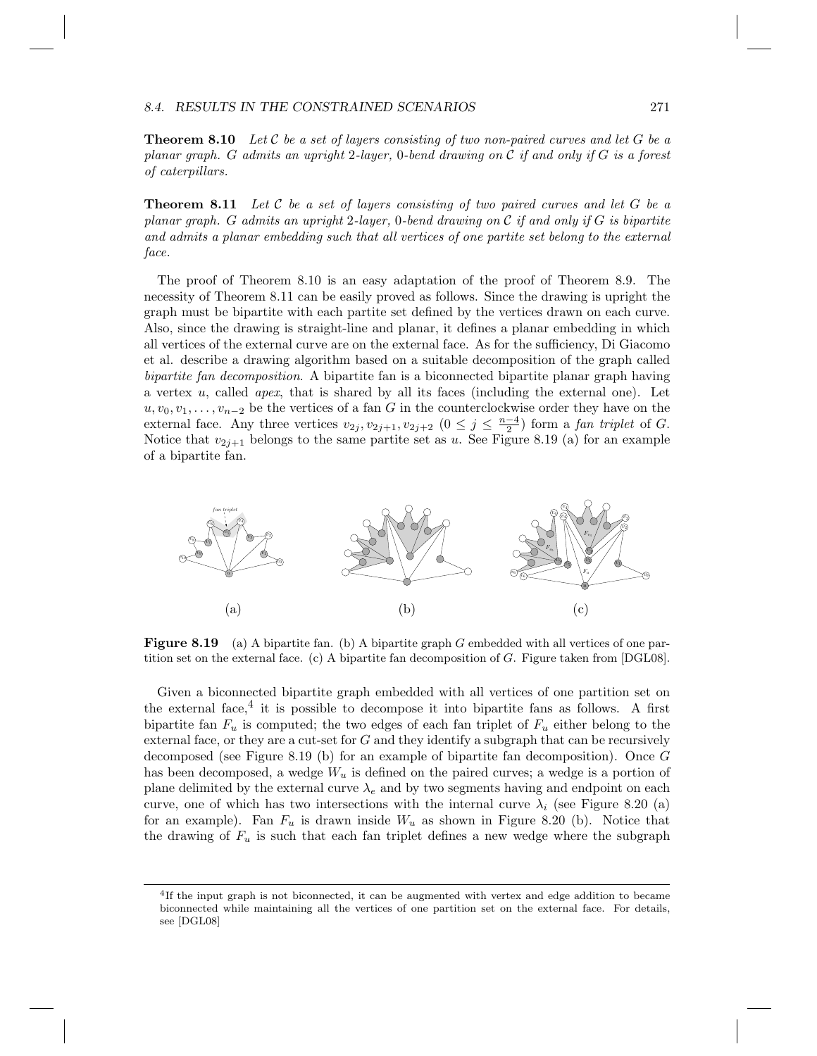### 8.4. RESULTS IN THE CONSTRAINED SCENARIOS 271

Theorem 8.10 *Let* C *be a set of layers consisting of two non-paired curves and let* G *be a planar graph.* G *admits an upright* 2*-layer,* 0*-bend drawing on* C *if and only if* G *is a forest of caterpillars.*

Theorem 8.11 *Let* C *be a set of layers consisting of two paired curves and let* G *be a planar graph.* G *admits an upright* 2*-layer,* 0*-bend drawing on* C *if and only if* G *is bipartite and admits a planar embedding such that all vertices of one partite set belong to the external face.*

The proof of Theorem 8.10 is an easy adaptation of the proof of Theorem 8.9. The necessity of Theorem 8.11 can be easily proved as follows. Since the drawing is upright the graph must be bipartite with each partite set defined by the vertices drawn on each curve. Also, since the drawing is straight-line and planar, it defines a planar embedding in which all vertices of the external curve are on the external face. As for the sufficiency, Di Giacomo et al. describe a drawing algorithm based on a suitable decomposition of the graph called *bipartite fan decomposition*. A bipartite fan is a biconnected bipartite planar graph having a vertex  $u$ , called *apex*, that is shared by all its faces (including the external one). Let  $u, v_0, v_1, \ldots, v_{n-2}$  be the vertices of a fan G in the counterclockwise order they have on the external face. Any three vertices  $v_{2j}$ ,  $v_{2j+1}$ ,  $v_{2j+2}$   $(0 \leq j \leq \frac{n-4}{2})$  form a *fan triplet* of G. Notice that  $v_{2j+1}$  belongs to the same partite set as u. See Figure 8.19 (a) for an example of a bipartite fan.



**Figure 8.19** (a) A bipartite fan. (b) A bipartite graph G embedded with all vertices of one partition set on the external face. (c) A bipartite fan decomposition of G. Figure taken from [DGL08].

Given a biconnected bipartite graph embedded with all vertices of one partition set on the external face,  $4$  it is possible to decompose it into bipartite fans as follows. A first bipartite fan  $F_u$  is computed; the two edges of each fan triplet of  $F_u$  either belong to the external face, or they are a cut-set for  $G$  and they identify a subgraph that can be recursively decomposed (see Figure 8.19 (b) for an example of bipartite fan decomposition). Once G has been decomposed, a wedge  $W_u$  is defined on the paired curves; a wedge is a portion of plane delimited by the external curve  $\lambda_e$  and by two segments having and endpoint on each curve, one of which has two intersections with the internal curve  $\lambda_i$  (see Figure 8.20 (a) for an example). Fan  $F_u$  is drawn inside  $W_u$  as shown in Figure 8.20 (b). Notice that the drawing of  $F_u$  is such that each fan triplet defines a new wedge where the subgraph

<sup>4</sup> If the input graph is not biconnected, it can be augmented with vertex and edge addition to became biconnected while maintaining all the vertices of one partition set on the external face. For details, see [DGL08]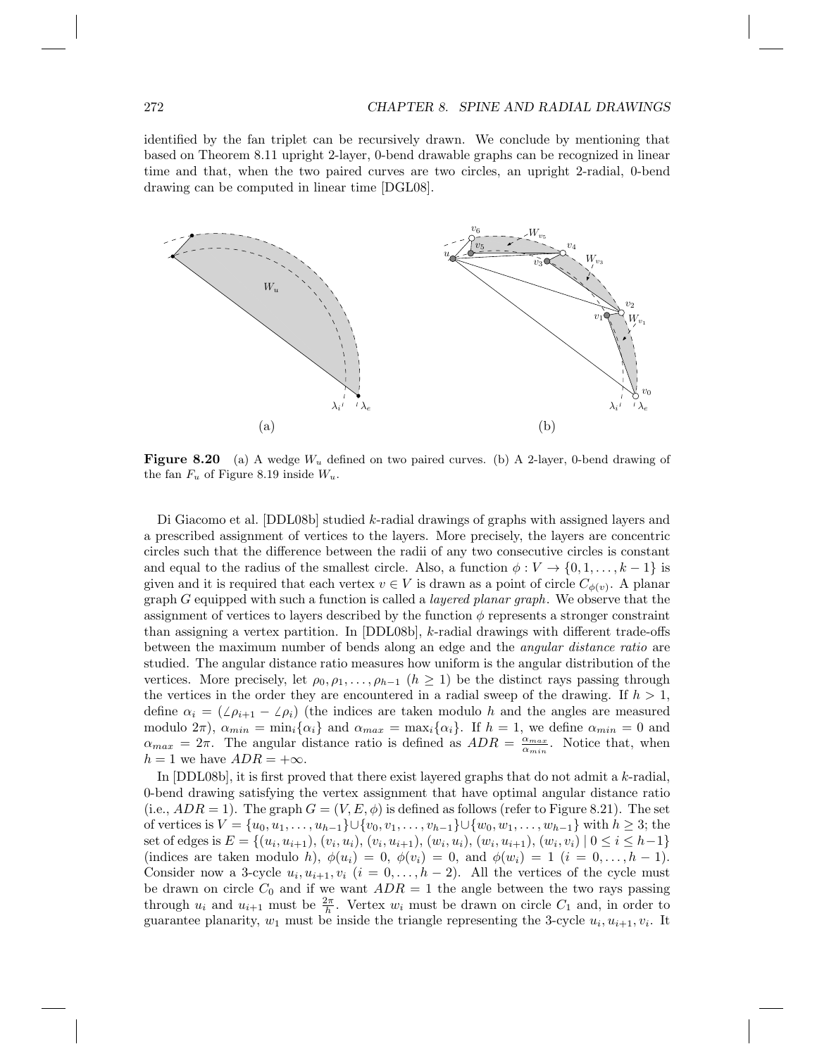identified by the fan triplet can be recursively drawn. We conclude by mentioning that based on Theorem 8.11 upright 2-layer, 0-bend drawable graphs can be recognized in linear time and that, when the two paired curves are two circles, an upright 2-radial, 0-bend drawing can be computed in linear time [DGL08].



**Figure 8.20** (a) A wedge  $W_u$  defined on two paired curves. (b) A 2-layer, 0-bend drawing of the fan  $F_u$  of Figure 8.19 inside  $W_u$ .

Di Giacomo et al. [DDL08b] studied k-radial drawings of graphs with assigned layers and a prescribed assignment of vertices to the layers. More precisely, the layers are concentric circles such that the difference between the radii of any two consecutive circles is constant and equal to the radius of the smallest circle. Also, a function  $\phi: V \to \{0, 1, \ldots, k-1\}$  is given and it is required that each vertex  $v \in V$  is drawn as a point of circle  $C_{\phi(v)}$ . A planar graph G equipped with such a function is called a *layered planar graph*. We observe that the assignment of vertices to layers described by the function  $\phi$  represents a stronger constraint than assigning a vertex partition. In [DDL08b], k-radial drawings with different trade-offs between the maximum number of bends along an edge and the *angular distance ratio* are studied. The angular distance ratio measures how uniform is the angular distribution of the vertices. More precisely, let  $\rho_0, \rho_1, \ldots, \rho_{h-1}$  ( $h \geq 1$ ) be the distinct rays passing through the vertices in the order they are encountered in a radial sweep of the drawing. If  $h > 1$ , define  $\alpha_i = (\angle \rho_{i+1} - \angle \rho_i)$  (the indices are taken modulo h and the angles are measured modulo  $2\pi$ ),  $\alpha_{min} = \min_i {\alpha_i}$  and  $\alpha_{max} = \max_i {\alpha_i}$ . If  $h = 1$ , we define  $\alpha_{min} = 0$  and  $\alpha_{max} = 2\pi$ . The angular distance ratio is defined as  $ADR = \frac{\alpha_{max}}{\alpha_{min}}$ . Notice that, when  $h = 1$  we have  $ADR = +\infty$ .

In  $[DDL08b]$ , it is first proved that there exist layered graphs that do not admit a k-radial, 0-bend drawing satisfying the vertex assignment that have optimal angular distance ratio (i.e.,  $ADR = 1$ ). The graph  $G = (V, E, \phi)$  is defined as follows (refer to Figure 8.21). The set of vertices is  $V = {u_0, u_1, \ldots, u_{h-1}} \cup {v_0, v_1, \ldots, v_{h-1}} \cup {w_0, w_1, \ldots, w_{h-1}}$  with  $h \geq 3$ ; the set of edges is  $E = \{(u_i, u_{i+1}), (v_i, u_i), (v_i, u_{i+1}), (w_i, u_i), (w_i, u_{i+1}), (w_i, v_i) \mid 0 \le i \le h-1\}$ (indices are taken modulo h),  $\phi(u_i) = 0$ ,  $\phi(v_i) = 0$ , and  $\phi(w_i) = 1$   $(i = 0, ..., h-1)$ . Consider now a 3-cycle  $u_i, u_{i+1}, v_i$   $(i = 0, \ldots, h-2)$ . All the vertices of the cycle must be drawn on circle  $C_0$  and if we want  $ADR = 1$  the angle between the two rays passing through  $u_i$  and  $u_{i+1}$  must be  $\frac{2\pi}{h}$ . Vertex  $w_i$  must be drawn on circle  $C_1$  and, in order to guarantee planarity,  $w_1$  must be inside the triangle representing the 3-cycle  $u_i, u_{i+1}, v_i$ . It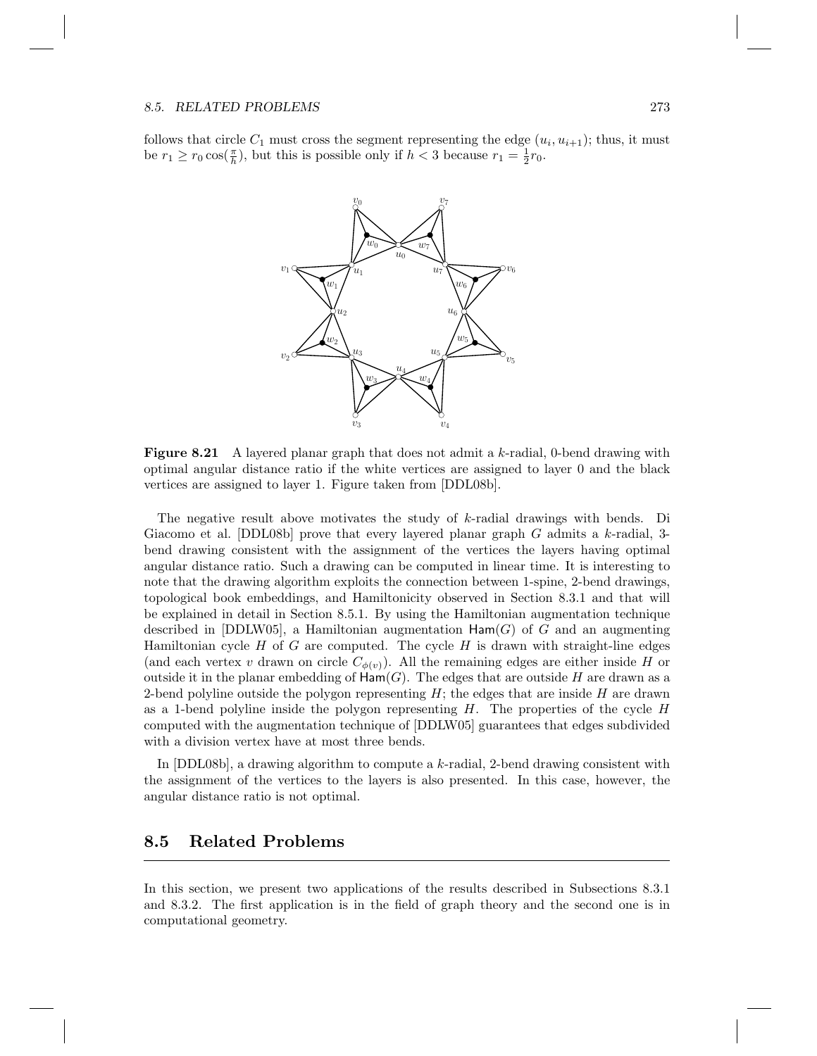### 8.5. RELATED PROBLEMS 273

follows that circle  $C_1$  must cross the segment representing the edge  $(u_i, u_{i+1})$ ; thus, it must be  $r_1 \ge r_0 \cos(\frac{\pi}{h})$ , but this is possible only if  $h < 3$  because  $r_1 = \frac{1}{2}r_0$ .



**Figure 8.21** A layered planar graph that does not admit a  $k$ -radial, 0-bend drawing with optimal angular distance ratio if the white vertices are assigned to layer 0 and the black vertices are assigned to layer 1. Figure taken from [DDL08b].

The negative result above motivates the study of k-radial drawings with bends. Di Giacomo et al. [DDL08b] prove that every layered planar graph  $G$  admits a k-radial, 3bend drawing consistent with the assignment of the vertices the layers having optimal angular distance ratio. Such a drawing can be computed in linear time. It is interesting to note that the drawing algorithm exploits the connection between 1-spine, 2-bend drawings, topological book embeddings, and Hamiltonicity observed in Section 8.3.1 and that will be explained in detail in Section 8.5.1. By using the Hamiltonian augmentation technique described in [DDLW05], a Hamiltonian augmentation  $\text{Ham}(G)$  of G and an augmenting Hamiltonian cycle  $H$  of  $G$  are computed. The cycle  $H$  is drawn with straight-line edges (and each vertex v drawn on circle  $C_{\phi(v)}$ ). All the remaining edges are either inside H or outside it in the planar embedding of  $\text{Ham}(G)$ . The edges that are outside H are drawn as a 2-bend polyline outside the polygon representing  $H$ ; the edges that are inside  $H$  are drawn as a 1-bend polyline inside the polygon representing  $H$ . The properties of the cycle  $H$ computed with the augmentation technique of [DDLW05] guarantees that edges subdivided with a division vertex have at most three bends.

In [DDL08b], a drawing algorithm to compute a k-radial, 2-bend drawing consistent with the assignment of the vertices to the layers is also presented. In this case, however, the angular distance ratio is not optimal.

### 8.5 Related Problems

In this section, we present two applications of the results described in Subsections 8.3.1 and 8.3.2. The first application is in the field of graph theory and the second one is in computational geometry.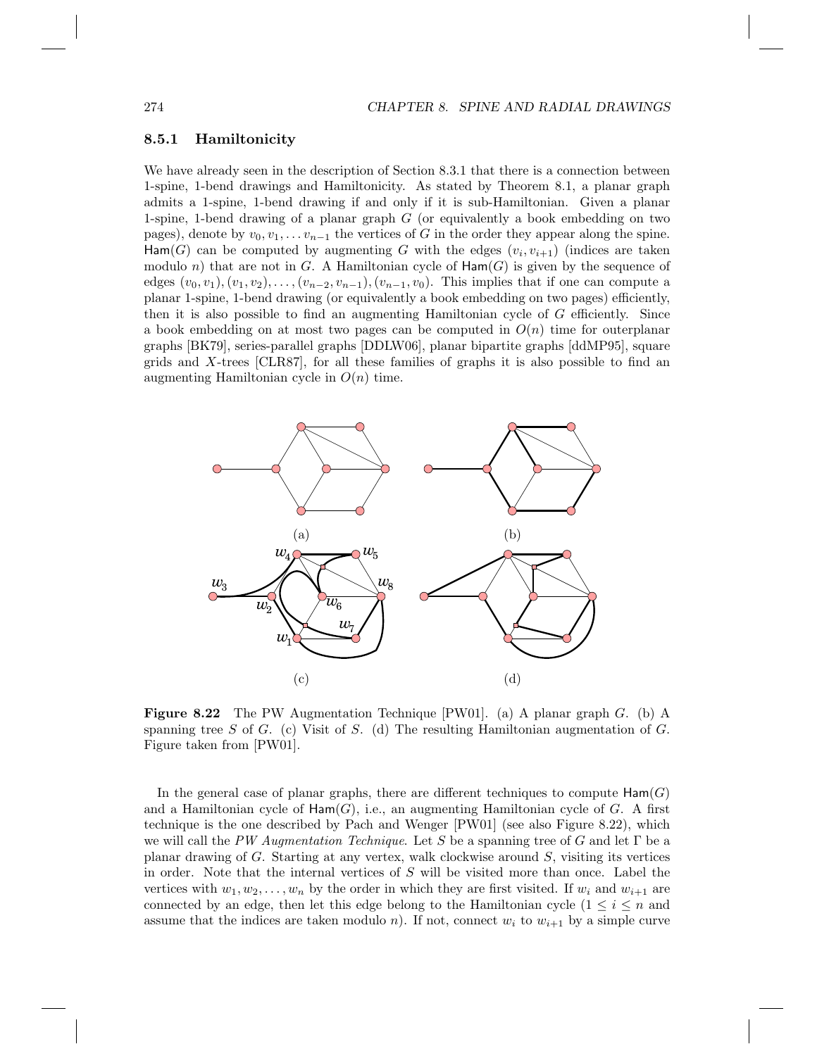### 8.5.1 Hamiltonicity

We have already seen in the description of Section 8.3.1 that there is a connection between 1-spine, 1-bend drawings and Hamiltonicity. As stated by Theorem 8.1, a planar graph admits a 1-spine, 1-bend drawing if and only if it is sub-Hamiltonian. Given a planar 1-spine, 1-bend drawing of a planar graph G (or equivalently a book embedding on two pages), denote by  $v_0, v_1, \ldots v_{n-1}$  the vertices of G in the order they appear along the spine. Ham(G) can be computed by augmenting G with the edges  $(v_i, v_{i+1})$  (indices are taken modulo n) that are not in G. A Hamiltonian cycle of  $\text{Ham}(G)$  is given by the sequence of edges  $(v_0, v_1), (v_1, v_2), \ldots, (v_{n-2}, v_{n-1}), (v_{n-1}, v_0)$ . This implies that if one can compute a planar 1-spine, 1-bend drawing (or equivalently a book embedding on two pages) efficiently, then it is also possible to find an augmenting Hamiltonian cycle of  $G$  efficiently. Since a book embedding on at most two pages can be computed in  $O(n)$  time for outerplanar graphs [BK79], series-parallel graphs [DDLW06], planar bipartite graphs [ddMP95], square grids and X-trees  $\lbrack \text{CLR87} \rbrack$ , for all these families of graphs it is also possible to find an augmenting Hamiltonian cycle in  $O(n)$  time.



Figure 8.22 The PW Augmentation Technique [PW01]. (a) A planar graph G. (b) A spanning tree S of G. (c) Visit of S. (d) The resulting Hamiltonian augmentation of G. Figure taken from [PW01].

In the general case of planar graphs, there are different techniques to compute  $\text{Ham}(G)$ and a Hamiltonian cycle of  $\text{Ham}(G)$ , i.e., an augmenting Hamiltonian cycle of G. A first technique is the one described by Pach and Wenger [PW01] (see also Figure 8.22), which we will call the *PW Augmentation Technique*. Let S be a spanning tree of G and let Γ be a planar drawing of  $G$ . Starting at any vertex, walk clockwise around  $S$ , visiting its vertices in order. Note that the internal vertices of S will be visited more than once. Label the vertices with  $w_1, w_2, \ldots, w_n$  by the order in which they are first visited. If  $w_i$  and  $w_{i+1}$  are connected by an edge, then let this edge belong to the Hamiltonian cycle  $(1 \leq i \leq n$  and assume that the indices are taken modulo n). If not, connect  $w_i$  to  $w_{i+1}$  by a simple curve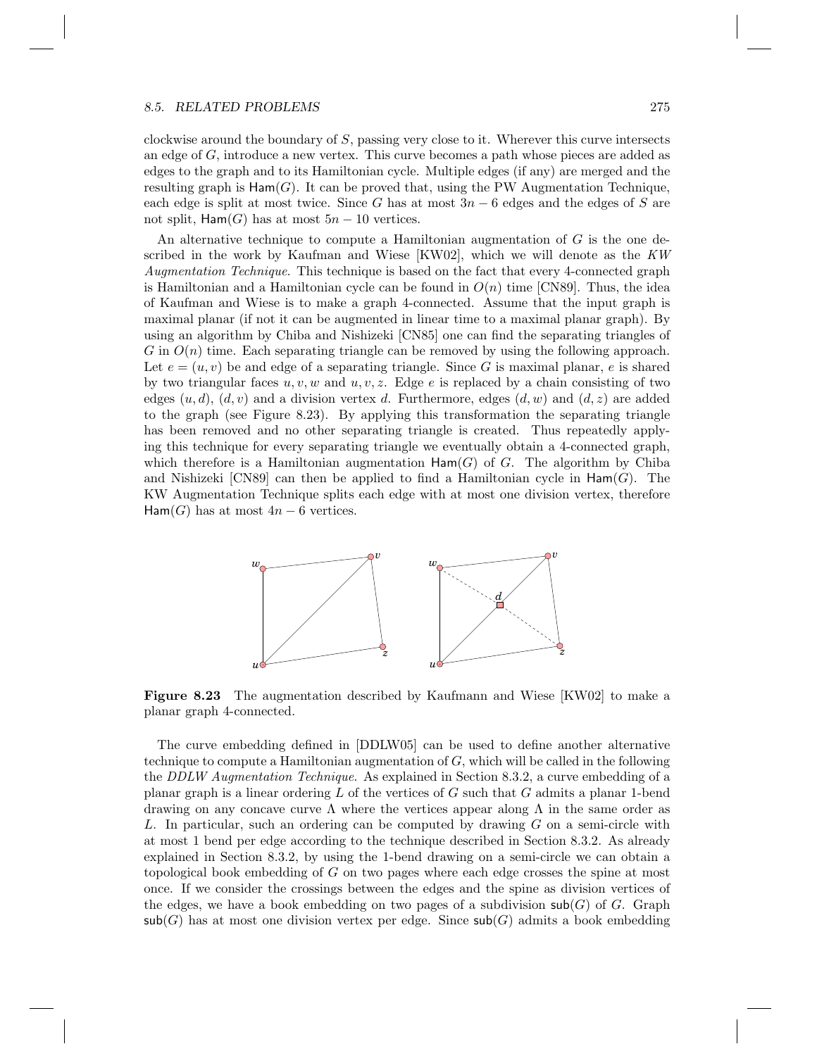### 8.5. RELATED PROBLEMS 275

clockwise around the boundary of S, passing very close to it. Wherever this curve intersects an edge of G, introduce a new vertex. This curve becomes a path whose pieces are added as edges to the graph and to its Hamiltonian cycle. Multiple edges (if any) are merged and the resulting graph is  $\text{Ham}(G)$ . It can be proved that, using the PW Augmentation Technique, each edge is split at most twice. Since G has at most  $3n-6$  edges and the edges of S are not split,  $\text{Ham}(G)$  has at most  $5n - 10$  vertices.

An alternative technique to compute a Hamiltonian augmentation of G is the one described in the work by Kaufman and Wiese [KW02], which we will denote as the *KW Augmentation Technique*. This technique is based on the fact that every 4-connected graph is Hamiltonian and a Hamiltonian cycle can be found in  $O(n)$  time [CN89]. Thus, the idea of Kaufman and Wiese is to make a graph 4-connected. Assume that the input graph is maximal planar (if not it can be augmented in linear time to a maximal planar graph). By using an algorithm by Chiba and Nishizeki [CN85] one can find the separating triangles of G in  $O(n)$  time. Each separating triangle can be removed by using the following approach. Let  $e = (u, v)$  be and edge of a separating triangle. Since G is maximal planar, e is shared by two triangular faces  $u, v, w$  and  $u, v, z$ . Edge e is replaced by a chain consisting of two edges  $(u, d)$ ,  $(d, v)$  and a division vertex d. Furthermore, edges  $(d, w)$  and  $(d, z)$  are added to the graph (see Figure 8.23). By applying this transformation the separating triangle has been removed and no other separating triangle is created. Thus repeatedly applying this technique for every separating triangle we eventually obtain a 4-connected graph, which therefore is a Hamiltonian augmentation  $\text{Ham}(G)$  of G. The algorithm by Chiba and Nishizeki [CN89] can then be applied to find a Hamiltonian cycle in  $\text{Ham}(G)$ . The KW Augmentation Technique splits each edge with at most one division vertex, therefore Ham(G) has at most  $4n - 6$  vertices.



Figure 8.23 The augmentation described by Kaufmann and Wiese [KW02] to make a planar graph 4-connected.

The curve embedding defined in [DDLW05] can be used to define another alternative technique to compute a Hamiltonian augmentation of  $G$ , which will be called in the following the *DDLW Augmentation Technique*. As explained in Section 8.3.2, a curve embedding of a planar graph is a linear ordering  $L$  of the vertices of  $G$  such that  $G$  admits a planar 1-bend drawing on any concave curve  $\Lambda$  where the vertices appear along  $\Lambda$  in the same order as L. In particular, such an ordering can be computed by drawing  $G$  on a semi-circle with at most 1 bend per edge according to the technique described in Section 8.3.2. As already explained in Section 8.3.2, by using the 1-bend drawing on a semi-circle we can obtain a topological book embedding of G on two pages where each edge crosses the spine at most once. If we consider the crossings between the edges and the spine as division vertices of the edges, we have a book embedding on two pages of a subdivision  $\mathsf{sub}(G)$  of G. Graph  $\mathsf{sub}(G)$  has at most one division vertex per edge. Since  $\mathsf{sub}(G)$  admits a book embedding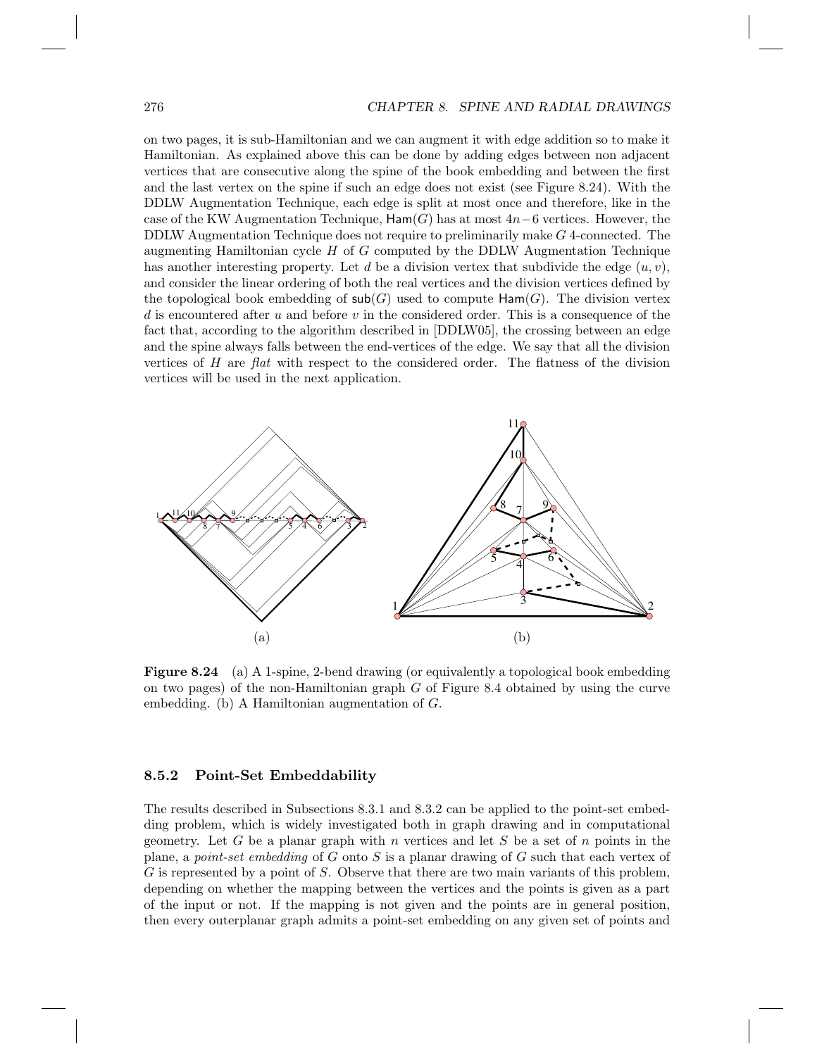on two pages, it is sub-Hamiltonian and we can augment it with edge addition so to make it Hamiltonian. As explained above this can be done by adding edges between non adjacent vertices that are consecutive along the spine of the book embedding and between the first and the last vertex on the spine if such an edge does not exist (see Figure 8.24). With the DDLW Augmentation Technique, each edge is split at most once and therefore, like in the case of the KW Augmentation Technique,  $\text{Ham}(G)$  has at most  $4n-6$  vertices. However, the DDLW Augmentation Technique does not require to preliminarily make G 4-connected. The augmenting Hamiltonian cycle  $H$  of  $G$  computed by the DDLW Augmentation Technique has another interesting property. Let d be a division vertex that subdivide the edge  $(u, v)$ , and consider the linear ordering of both the real vertices and the division vertices defined by the topological book embedding of  $\mathsf{sub}(G)$  used to compute  $\mathsf{Ham}(G)$ . The division vertex d is encountered after  $u$  and before  $v$  in the considered order. This is a consequence of the fact that, according to the algorithm described in [DDLW05], the crossing between an edge and the spine always falls between the end-vertices of the edge. We say that all the division vertices of H are *flat* with respect to the considered order. The flatness of the division vertices will be used in the next application.



Figure 8.24 (a) A 1-spine, 2-bend drawing (or equivalently a topological book embedding on two pages) of the non-Hamiltonian graph  $G$  of Figure 8.4 obtained by using the curve embedding. (b) A Hamiltonian augmentation of G.

### 8.5.2 Point-Set Embeddability

The results described in Subsections 8.3.1 and 8.3.2 can be applied to the point-set embedding problem, which is widely investigated both in graph drawing and in computational geometry. Let G be a planar graph with n vertices and let S be a set of n points in the plane, a *point-set embedding* of G onto S is a planar drawing of G such that each vertex of G is represented by a point of S. Observe that there are two main variants of this problem, depending on whether the mapping between the vertices and the points is given as a part of the input or not. If the mapping is not given and the points are in general position, then every outerplanar graph admits a point-set embedding on any given set of points and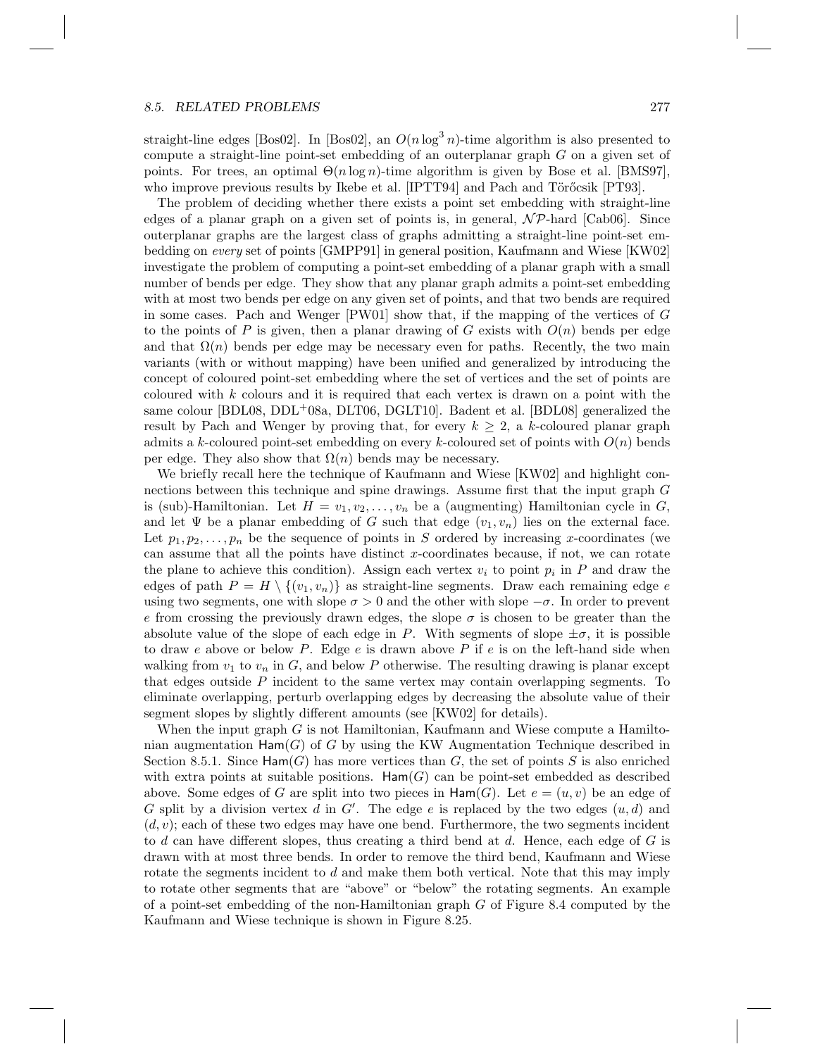### 8.5. RELATED PROBLEMS 277

straight-line edges [Bos02]. In [Bos02], an  $O(n \log^3 n)$ -time algorithm is also presented to compute a straight-line point-set embedding of an outerplanar graph  $G$  on a given set of points. For trees, an optimal  $\Theta(n \log n)$ -time algorithm is given by Bose et al. [BMS97], who improve previous results by Ikebe et al. [IPTT94] and Pach and Törőcsik [PT93].

The problem of deciding whether there exists a point set embedding with straight-line edges of a planar graph on a given set of points is, in general,  $\mathcal{NP}$ -hard [Cab06]. Since outerplanar graphs are the largest class of graphs admitting a straight-line point-set embedding on *every* set of points [GMPP91] in general position, Kaufmann and Wiese [KW02] investigate the problem of computing a point-set embedding of a planar graph with a small number of bends per edge. They show that any planar graph admits a point-set embedding with at most two bends per edge on any given set of points, and that two bends are required in some cases. Pach and Wenger [PW01] show that, if the mapping of the vertices of G to the points of P is given, then a planar drawing of G exists with  $O(n)$  bends per edge and that  $\Omega(n)$  bends per edge may be necessary even for paths. Recently, the two main variants (with or without mapping) have been unified and generalized by introducing the concept of coloured point-set embedding where the set of vertices and the set of points are coloured with  $k$  colours and it is required that each vertex is drawn on a point with the same colour [BDL08, DDL+08a, DLT06, DGLT10]. Badent et al. [BDL08] generalized the result by Pach and Wenger by proving that, for every  $k \geq 2$ , a k-coloured planar graph admits a k-coloured point-set embedding on every k-coloured set of points with  $O(n)$  bends per edge. They also show that  $\Omega(n)$  bends may be necessary.

We briefly recall here the technique of Kaufmann and Wiese [KW02] and highlight connections between this technique and spine drawings. Assume first that the input graph G is (sub)-Hamiltonian. Let  $H = v_1, v_2, \ldots, v_n$  be a (augmenting) Hamiltonian cycle in G, and let  $\Psi$  be a planar embedding of G such that edge  $(v_1, v_n)$  lies on the external face. Let  $p_1, p_2, \ldots, p_n$  be the sequence of points in S ordered by increasing x-coordinates (we can assume that all the points have distinct x-coordinates because, if not, we can rotate the plane to achieve this condition). Assign each vertex  $v_i$  to point  $p_i$  in P and draw the edges of path  $P = H \setminus \{(v_1, v_n)\}\$ as straight-line segments. Draw each remaining edge e using two segments, one with slope  $\sigma > 0$  and the other with slope  $-\sigma$ . In order to prevent e from crossing the previously drawn edges, the slope  $\sigma$  is chosen to be greater than the absolute value of the slope of each edge in P. With segments of slope  $\pm \sigma$ , it is possible to draw e above or below P. Edge e is drawn above P if e is on the left-hand side when walking from  $v_1$  to  $v_n$  in G, and below P otherwise. The resulting drawing is planar except that edges outside  $P$  incident to the same vertex may contain overlapping segments. To eliminate overlapping, perturb overlapping edges by decreasing the absolute value of their segment slopes by slightly different amounts (see [KW02] for details).

When the input graph  $G$  is not Hamiltonian, Kaufmann and Wiese compute a Hamiltonian augmentation  $\text{Ham}(G)$  of G by using the KW Augmentation Technique described in Section 8.5.1. Since  $\text{Ham}(G)$  has more vertices than G, the set of points S is also enriched with extra points at suitable positions. Ham(G) can be point-set embedded as described above. Some edges of G are split into two pieces in  $\text{Ham}(G)$ . Let  $e = (u, v)$  be an edge of G split by a division vertex d in  $G'$ . The edge e is replaced by the two edges  $(u, d)$  and  $(d, v)$ ; each of these two edges may have one bend. Furthermore, the two segments incident to d can have different slopes, thus creating a third bend at d. Hence, each edge of  $G$  is drawn with at most three bends. In order to remove the third bend, Kaufmann and Wiese rotate the segments incident to  $d$  and make them both vertical. Note that this may imply to rotate other segments that are "above" or "below" the rotating segments. An example of a point-set embedding of the non-Hamiltonian graph  $G$  of Figure 8.4 computed by the Kaufmann and Wiese technique is shown in Figure 8.25.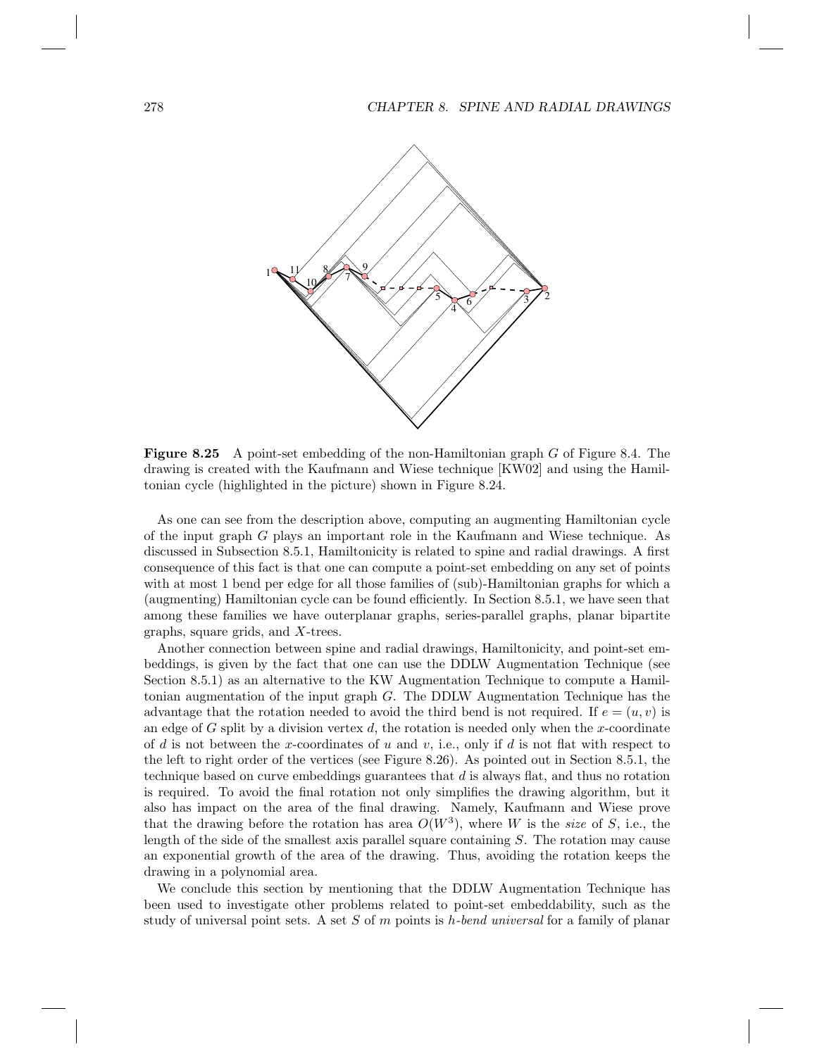

Figure 8.25 A point-set embedding of the non-Hamiltonian graph G of Figure 8.4. The drawing is created with the Kaufmann and Wiese technique [KW02] and using the Hamiltonian cycle (highlighted in the picture) shown in Figure 8.24.

As one can see from the description above, computing an augmenting Hamiltonian cycle of the input graph G plays an important role in the Kaufmann and Wiese technique. As discussed in Subsection 8.5.1, Hamiltonicity is related to spine and radial drawings. A first consequence of this fact is that one can compute a point-set embedding on any set of points with at most 1 bend per edge for all those families of (sub)-Hamiltonian graphs for which a (augmenting) Hamiltonian cycle can be found efficiently. In Section 8.5.1, we have seen that among these families we have outerplanar graphs, series-parallel graphs, planar bipartite graphs, square grids, and X-trees.

Another connection between spine and radial drawings, Hamiltonicity, and point-set embeddings, is given by the fact that one can use the DDLW Augmentation Technique (see Section 8.5.1) as an alternative to the KW Augmentation Technique to compute a Hamiltonian augmentation of the input graph G. The DDLW Augmentation Technique has the advantage that the rotation needed to avoid the third bend is not required. If  $e = (u, v)$  is an edge of G split by a division vertex d, the rotation is needed only when the x-coordinate of d is not between the x-coordinates of u and v, i.e., only if d is not flat with respect to the left to right order of the vertices (see Figure 8.26). As pointed out in Section 8.5.1, the technique based on curve embeddings guarantees that  $d$  is always flat, and thus no rotation is required. To avoid the final rotation not only simplifies the drawing algorithm, but it also has impact on the area of the final drawing. Namely, Kaufmann and Wiese prove that the drawing before the rotation has area  $O(W^3)$ , where W is the *size* of S, i.e., the length of the side of the smallest axis parallel square containing S. The rotation may cause an exponential growth of the area of the drawing. Thus, avoiding the rotation keeps the drawing in a polynomial area.

We conclude this section by mentioning that the DDLW Augmentation Technique has been used to investigate other problems related to point-set embeddability, such as the study of universal point sets. A set S of m points is h*-bend universal* for a family of planar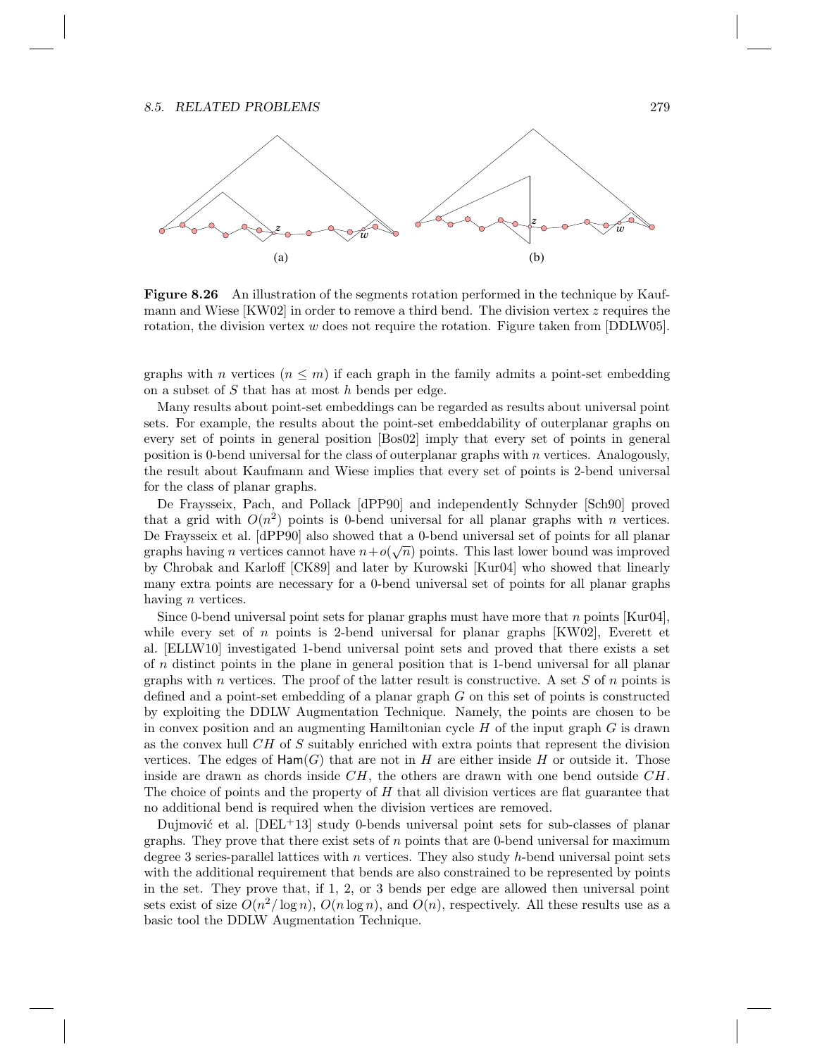

Figure 8.26 An illustration of the segments rotation performed in the technique by Kaufmann and Wiese  $[KW02]$  in order to remove a third bend. The division vertex z requires the rotation, the division vertex  $w$  does not require the rotation. Figure taken from  $|DDLW05|$ .

graphs with n vertices  $(n \leq m)$  if each graph in the family admits a point-set embedding on a subset of  $S$  that has at most  $h$  bends per edge.

Many results about point-set embeddings can be regarded as results about universal point sets. For example, the results about the point-set embeddability of outerplanar graphs on every set of points in general position [Bos02] imply that every set of points in general position is 0-bend universal for the class of outerplanar graphs with  $n$  vertices. Analogously, the result about Kaufmann and Wiese implies that every set of points is 2-bend universal for the class of planar graphs.

De Fraysseix, Pach, and Pollack [dPP90] and independently Schnyder [Sch90] proved that a grid with  $O(n^2)$  points is 0-bend universal for all planar graphs with n vertices. De Fraysseix et al. [dPP90] also showed that a 0-bend universal set of points for all planar graphs having n vertices cannot have  $n + o(\sqrt{n})$  points. This last lower bound was improved by Chrobak and Karloff [CK89] and later by Kurowski [Kur04] who showed that linearly many extra points are necessary for a 0-bend universal set of points for all planar graphs having *n* vertices.

Since 0-bend universal point sets for planar graphs must have more that  $n$  points [Kur04], while every set of n points is 2-bend universal for planar graphs  $\text{KW02}$ , Everett et al. [ELLW10] investigated 1-bend universal point sets and proved that there exists a set of n distinct points in the plane in general position that is 1-bend universal for all planar graphs with n vertices. The proof of the latter result is constructive. A set  $S$  of n points is defined and a point-set embedding of a planar graph G on this set of points is constructed by exploiting the DDLW Augmentation Technique. Namely, the points are chosen to be in convex position and an augmenting Hamiltonian cycle  $H$  of the input graph  $G$  is drawn as the convex hull CH of S suitably enriched with extra points that represent the division vertices. The edges of  $\text{Ham}(G)$  that are not in H are either inside H or outside it. Those inside are drawn as chords inside CH, the others are drawn with one bend outside CH. The choice of points and the property of  $H$  that all division vertices are flat guarantee that no additional bend is required when the division vertices are removed.

Dujmović et al.  $[DEL+13]$  study 0-bends universal point sets for sub-classes of planar graphs. They prove that there exist sets of  $n$  points that are 0-bend universal for maximum degree 3 series-parallel lattices with  $n$  vertices. They also study  $h$ -bend universal point sets with the additional requirement that bends are also constrained to be represented by points in the set. They prove that, if 1, 2, or 3 bends per edge are allowed then universal point sets exist of size  $O(n^2/\log n)$ ,  $O(n \log n)$ , and  $O(n)$ , respectively. All these results use as a basic tool the DDLW Augmentation Technique.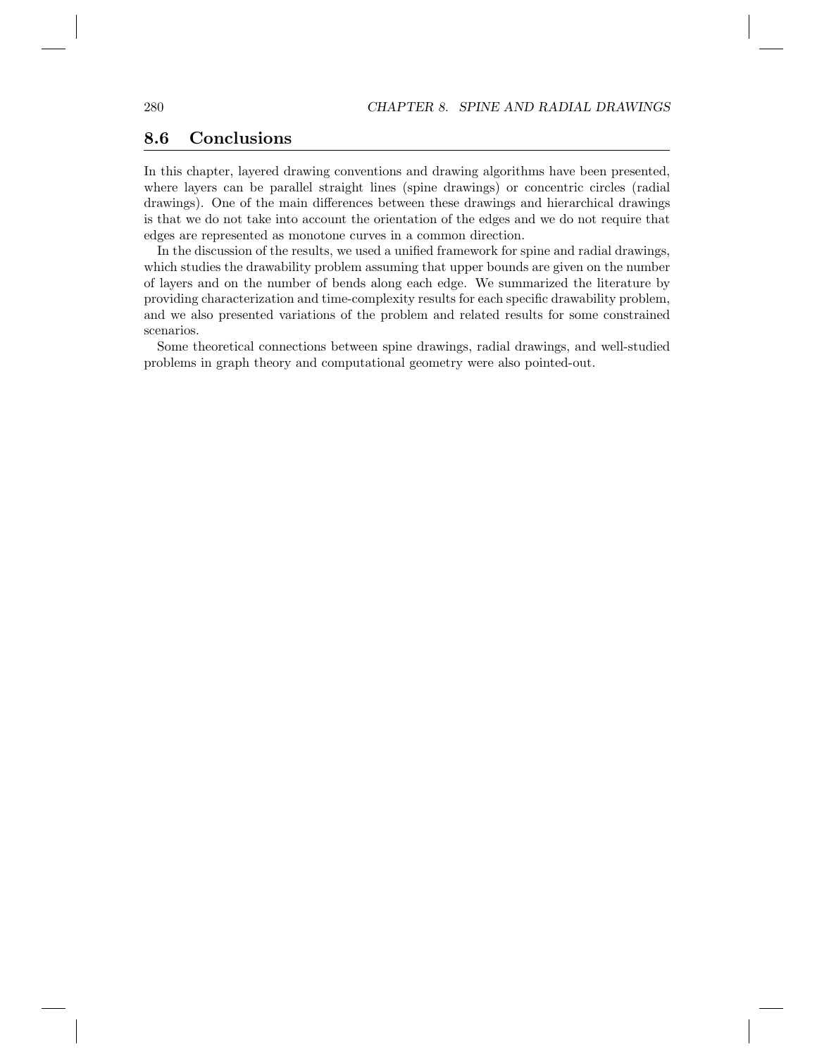# 8.6 Conclusions

In this chapter, layered drawing conventions and drawing algorithms have been presented, where layers can be parallel straight lines (spine drawings) or concentric circles (radial drawings). One of the main differences between these drawings and hierarchical drawings is that we do not take into account the orientation of the edges and we do not require that edges are represented as monotone curves in a common direction.

In the discussion of the results, we used a unified framework for spine and radial drawings, which studies the drawability problem assuming that upper bounds are given on the number of layers and on the number of bends along each edge. We summarized the literature by providing characterization and time-complexity results for each specific drawability problem, and we also presented variations of the problem and related results for some constrained scenarios.

Some theoretical connections between spine drawings, radial drawings, and well-studied problems in graph theory and computational geometry were also pointed-out.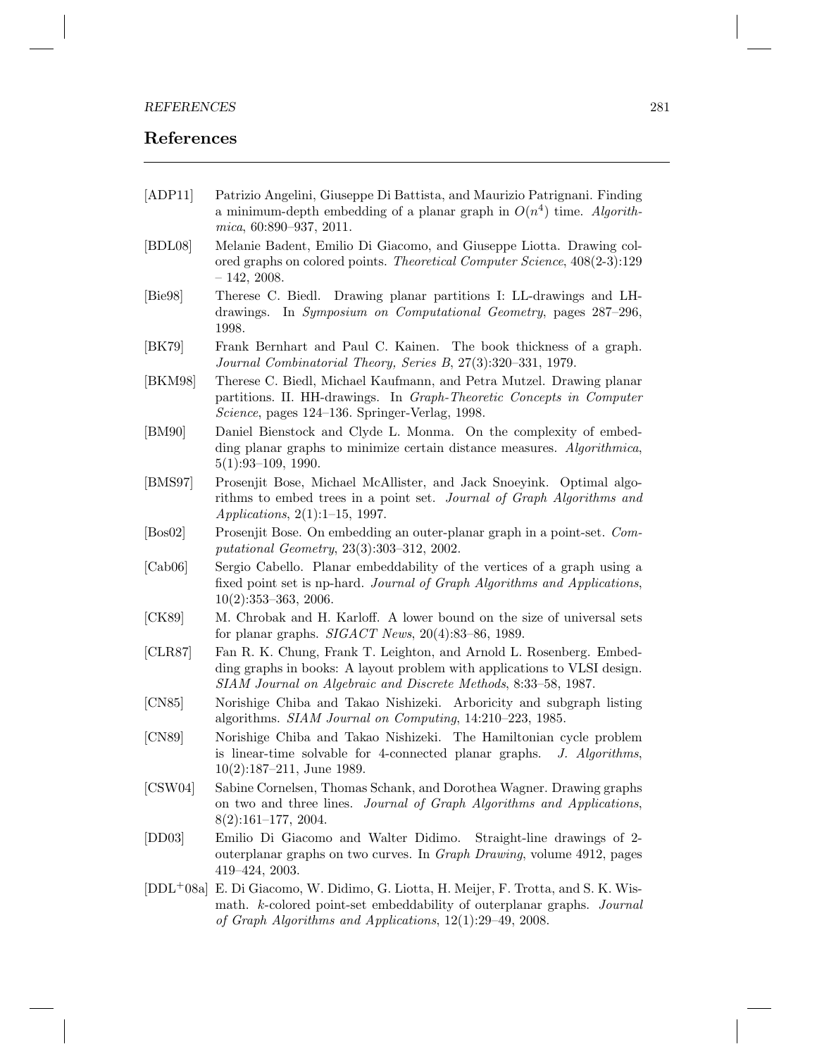### References

- [ADP11] Patrizio Angelini, Giuseppe Di Battista, and Maurizio Patrignani. Finding a minimum-depth embedding of a planar graph in  $O(n^4)$  time. *Algorithmica*, 60:890–937, 2011.
- [BDL08] Melanie Badent, Emilio Di Giacomo, and Giuseppe Liotta. Drawing colored graphs on colored points. *Theoretical Computer Science*, 408(2-3):129  $-142, 2008.$
- [Bie98] Therese C. Biedl. Drawing planar partitions I: LL-drawings and LHdrawings. In *Symposium on Computational Geometry*, pages 287–296, 1998.
- [BK79] Frank Bernhart and Paul C. Kainen. The book thickness of a graph. *Journal Combinatorial Theory, Series B*, 27(3):320–331, 1979.
- [BKM98] Therese C. Biedl, Michael Kaufmann, and Petra Mutzel. Drawing planar partitions. II. HH-drawings. In *Graph-Theoretic Concepts in Computer Science*, pages 124–136. Springer-Verlag, 1998.
- [BM90] Daniel Bienstock and Clyde L. Monma. On the complexity of embedding planar graphs to minimize certain distance measures. *Algorithmica*, 5(1):93–109, 1990.
- [BMS97] Prosenjit Bose, Michael McAllister, and Jack Snoeyink. Optimal algorithms to embed trees in a point set. *Journal of Graph Algorithms and Applications*, 2(1):1–15, 1997.
- [Bos02] Prosenjit Bose. On embedding an outer-planar graph in a point-set. *Computational Geometry*, 23(3):303–312, 2002.
- [Cab06] Sergio Cabello. Planar embeddability of the vertices of a graph using a fixed point set is np-hard. *Journal of Graph Algorithms and Applications*, 10(2):353–363, 2006.
- [CK89] M. Chrobak and H. Karloff. A lower bound on the size of universal sets for planar graphs. *SIGACT News*, 20(4):83–86, 1989.
- [CLR87] Fan R. K. Chung, Frank T. Leighton, and Arnold L. Rosenberg. Embedding graphs in books: A layout problem with applications to VLSI design. *SIAM Journal on Algebraic and Discrete Methods*, 8:33–58, 1987.
- [CN85] Norishige Chiba and Takao Nishizeki. Arboricity and subgraph listing algorithms. *SIAM Journal on Computing*, 14:210–223, 1985.
- [CN89] Norishige Chiba and Takao Nishizeki. The Hamiltonian cycle problem is linear-time solvable for 4-connected planar graphs. *J. Algorithms*, 10(2):187–211, June 1989.
- [CSW04] Sabine Cornelsen, Thomas Schank, and Dorothea Wagner. Drawing graphs on two and three lines. *Journal of Graph Algorithms and Applications*, 8(2):161–177, 2004.
- [DD03] Emilio Di Giacomo and Walter Didimo. Straight-line drawings of 2 outerplanar graphs on two curves. In *Graph Drawing*, volume 4912, pages 419–424, 2003.
- [DDL+08a] E. Di Giacomo, W. Didimo, G. Liotta, H. Meijer, F. Trotta, and S. K. Wismath. k-colored point-set embeddability of outerplanar graphs. *Journal of Graph Algorithms and Applications*, 12(1):29–49, 2008.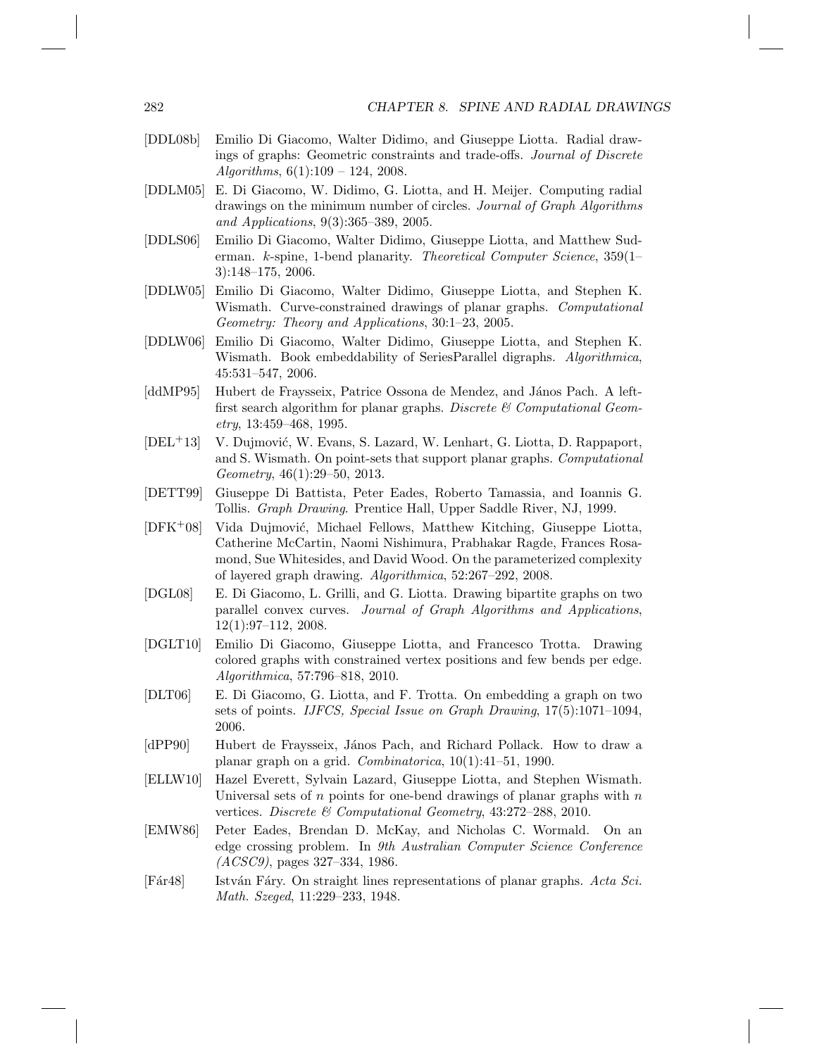- [DDL08b] Emilio Di Giacomo, Walter Didimo, and Giuseppe Liotta. Radial drawings of graphs: Geometric constraints and trade-offs. *Journal of Discrete Algorithms*, 6(1):109 – 124, 2008.
- [DDLM05] E. Di Giacomo, W. Didimo, G. Liotta, and H. Meijer. Computing radial drawings on the minimum number of circles. *Journal of Graph Algorithms and Applications*, 9(3):365–389, 2005.
- [DDLS06] Emilio Di Giacomo, Walter Didimo, Giuseppe Liotta, and Matthew Suderman. k-spine, 1-bend planarity. *Theoretical Computer Science*, 359(1– 3):148–175, 2006.
- [DDLW05] Emilio Di Giacomo, Walter Didimo, Giuseppe Liotta, and Stephen K. Wismath. Curve-constrained drawings of planar graphs. *Computational Geometry: Theory and Applications*, 30:1–23, 2005.
- [DDLW06] Emilio Di Giacomo, Walter Didimo, Giuseppe Liotta, and Stephen K. Wismath. Book embeddability of SeriesParallel digraphs. *Algorithmica*, 45:531–547, 2006.
- [ddMP95] Hubert de Fraysseix, Patrice Ossona de Mendez, and János Pach. A leftfirst search algorithm for planar graphs. *Discrete & Computational Geometry*, 13:459–468, 1995.
- [DEL<sup>+</sup>13] V. Dujmović, W. Evans, S. Lazard, W. Lenhart, G. Liotta, D. Rappaport, and S. Wismath. On point-sets that support planar graphs. *Computational Geometry*, 46(1):29–50, 2013.
- [DETT99] Giuseppe Di Battista, Peter Eades, Roberto Tamassia, and Ioannis G. Tollis. *Graph Drawing*. Prentice Hall, Upper Saddle River, NJ, 1999.
- [DFK+08] Vida Dujmović, Michael Fellows, Matthew Kitching, Giuseppe Liotta, Catherine McCartin, Naomi Nishimura, Prabhakar Ragde, Frances Rosamond, Sue Whitesides, and David Wood. On the parameterized complexity of layered graph drawing. *Algorithmica*, 52:267–292, 2008.
- [DGL08] E. Di Giacomo, L. Grilli, and G. Liotta. Drawing bipartite graphs on two parallel convex curves. *Journal of Graph Algorithms and Applications*, 12(1):97–112, 2008.
- [DGLT10] Emilio Di Giacomo, Giuseppe Liotta, and Francesco Trotta. Drawing colored graphs with constrained vertex positions and few bends per edge. *Algorithmica*, 57:796–818, 2010.
- [DLT06] E. Di Giacomo, G. Liotta, and F. Trotta. On embedding a graph on two sets of points. *IJFCS, Special Issue on Graph Drawing*, 17(5):1071–1094, 2006.
- [dPP90] Hubert de Fraysseix, János Pach, and Richard Pollack. How to draw a planar graph on a grid. *Combinatorica*, 10(1):41–51, 1990.
- [ELLW10] Hazel Everett, Sylvain Lazard, Giuseppe Liotta, and Stephen Wismath. Universal sets of n points for one-bend drawings of planar graphs with  $n$ vertices. *Discrete & Computational Geometry*, 43:272–288, 2010.
- [EMW86] Peter Eades, Brendan D. McKay, and Nicholas C. Wormald. On an edge crossing problem. In *9th Australian Computer Science Conference (ACSC9)*, pages 327–334, 1986.
- [Fár48] István Fáry. On straight lines representations of planar graphs. *Acta Sci. Math. Szeged*, 11:229–233, 1948.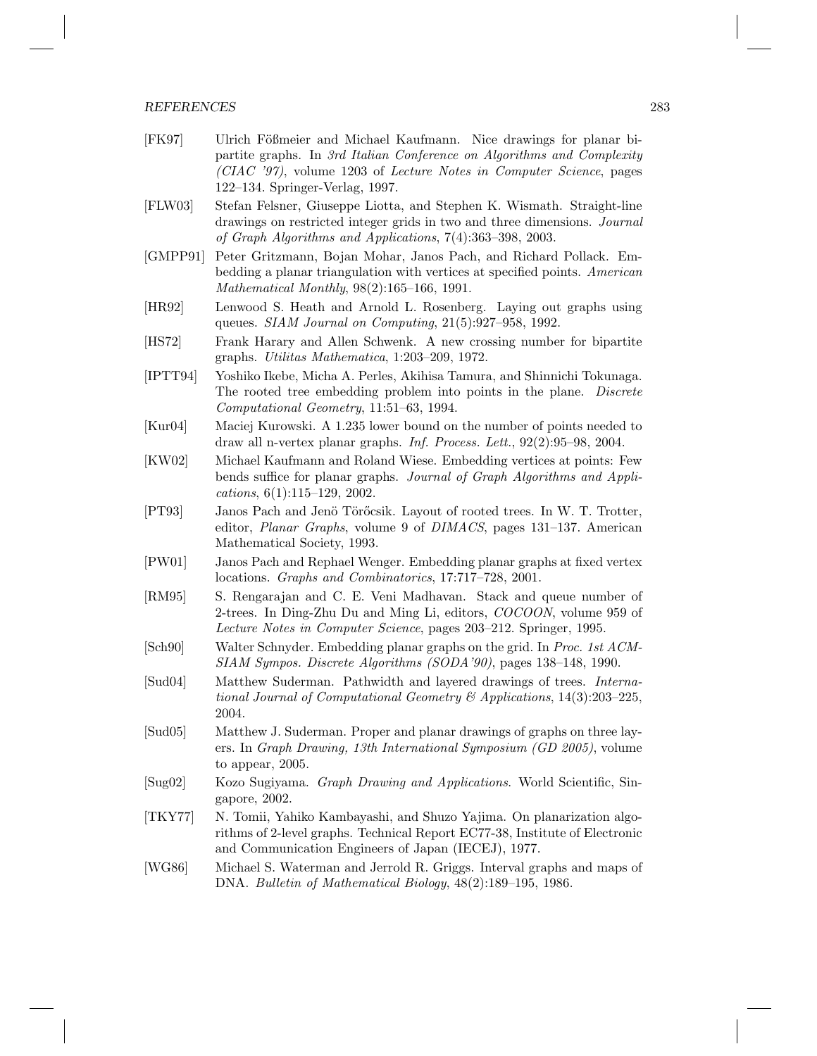### REFERENCES 283

- [FK97] Ulrich Fößmeier and Michael Kaufmann. Nice drawings for planar bipartite graphs. In *3rd Italian Conference on Algorithms and Complexity (CIAC '97)*, volume 1203 of *Lecture Notes in Computer Science*, pages 122–134. Springer-Verlag, 1997.
- [FLW03] Stefan Felsner, Giuseppe Liotta, and Stephen K. Wismath. Straight-line drawings on restricted integer grids in two and three dimensions. *Journal of Graph Algorithms and Applications*, 7(4):363–398, 2003.
- [GMPP91] Peter Gritzmann, Bojan Mohar, Janos Pach, and Richard Pollack. Embedding a planar triangulation with vertices at specified points. *American Mathematical Monthly*, 98(2):165–166, 1991.
- [HR92] Lenwood S. Heath and Arnold L. Rosenberg. Laying out graphs using queues. *SIAM Journal on Computing*, 21(5):927–958, 1992.
- [HS72] Frank Harary and Allen Schwenk. A new crossing number for bipartite graphs. *Utilitas Mathematica*, 1:203–209, 1972.
- [IPTT94] Yoshiko Ikebe, Micha A. Perles, Akihisa Tamura, and Shinnichi Tokunaga. The rooted tree embedding problem into points in the plane. *Discrete Computational Geometry*, 11:51–63, 1994.
- [Kur04] Maciej Kurowski. A 1.235 lower bound on the number of points needed to draw all n-vertex planar graphs. *Inf. Process. Lett.*, 92(2):95–98, 2004.
- [KW02] Michael Kaufmann and Roland Wiese. Embedding vertices at points: Few bends suffice for planar graphs. *Journal of Graph Algorithms and Applications*, 6(1):115–129, 2002.
- [PT93] Janos Pach and Jenö Törőcsik. Layout of rooted trees. In W. T. Trotter, editor, *Planar Graphs*, volume 9 of *DIMACS*, pages 131–137. American Mathematical Society, 1993.
- [PW01] Janos Pach and Rephael Wenger. Embedding planar graphs at fixed vertex locations. *Graphs and Combinatorics*, 17:717–728, 2001.
- [RM95] S. Rengarajan and C. E. Veni Madhavan. Stack and queue number of 2-trees. In Ding-Zhu Du and Ming Li, editors, *COCOON*, volume 959 of *Lecture Notes in Computer Science*, pages 203–212. Springer, 1995.
- [Sch90] Walter Schnyder. Embedding planar graphs on the grid. In *Proc. 1st ACM-SIAM Sympos. Discrete Algorithms (SODA'90)*, pages 138–148, 1990.
- [Sud04] Matthew Suderman. Pathwidth and layered drawings of trees. *International Journal of Computational Geometry & Applications*, 14(3):203–225, 2004.
- [Sud05] Matthew J. Suderman. Proper and planar drawings of graphs on three layers. In *Graph Drawing, 13th International Symposium (GD 2005)*, volume to appear, 2005.
- [Sug02] Kozo Sugiyama. *Graph Drawing and Applications*. World Scientific, Singapore, 2002.
- [TKY77] N. Tomii, Yahiko Kambayashi, and Shuzo Yajima. On planarization algorithms of 2-level graphs. Technical Report EC77-38, Institute of Electronic and Communication Engineers of Japan (IECEJ), 1977.
- [WG86] Michael S. Waterman and Jerrold R. Griggs. Interval graphs and maps of DNA. *Bulletin of Mathematical Biology*, 48(2):189–195, 1986.